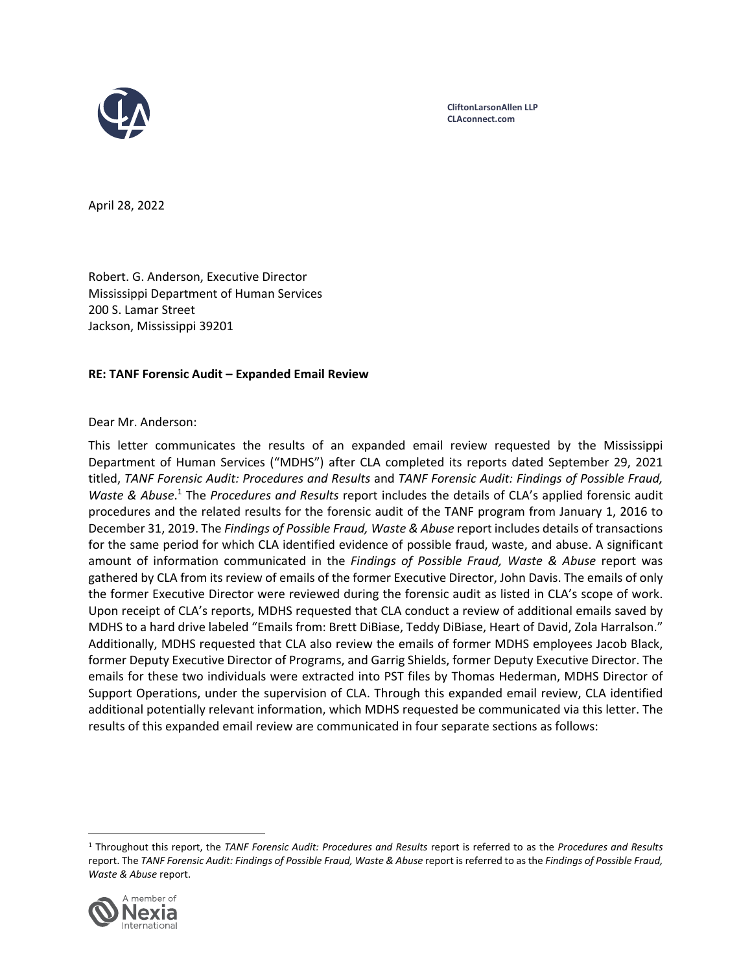

**CliftonLarsonAllen LLP CLAconnect.com**

April 28, 2022

Robert. G. Anderson, Executive Director Mississippi Department of Human Services 200 S. Lamar Street Jackson, Mississippi 39201

### **RE: TANF Forensic Audit – Expanded Email Review**

### Dear Mr. Anderson:

This letter communicates the results of an expanded email review requested by the Mississippi Department of Human Services ("MDHS") after CLA completed its reports dated September 29, 2021 titled, *TANF Forensic Audit: Procedures and Results* and *TANF Forensic Audit: Findings of Possible Fraud, Waste & Abuse*. <sup>1</sup> The *Procedures and Results* report includes the details of CLA's applied forensic audit procedures and the related results for the forensic audit of the TANF program from January 1, 2016 to December 31, 2019. The *Findings of Possible Fraud, Waste & Abuse* report includes details of transactions for the same period for which CLA identified evidence of possible fraud, waste, and abuse. A significant amount of information communicated in the *Findings of Possible Fraud, Waste & Abuse* report was gathered by CLA from its review of emails of the former Executive Director, John Davis. The emails of only the former Executive Director were reviewed during the forensic audit as listed in CLA's scope of work. Upon receipt of CLA's reports, MDHS requested that CLA conduct a review of additional emails saved by MDHS to a hard drive labeled "Emails from: Brett DiBiase, Teddy DiBiase, Heart of David, Zola Harralson." Additionally, MDHS requested that CLA also review the emails of former MDHS employees Jacob Black, former Deputy Executive Director of Programs, and Garrig Shields, former Deputy Executive Director. The emails for these two individuals were extracted into PST files by Thomas Hederman, MDHS Director of Support Operations, under the supervision of CLA. Through this expanded email review, CLA identified additional potentially relevant information, which MDHS requested be communicated via this letter. The results of this expanded email review are communicated in four separate sections as follows:

<sup>1</sup> Throughout this report, the *TANF Forensic Audit: Procedures and Results* report is referred to as the *Procedures and Results* report. The TANF Forensic Audit: Findings of Possible Fraud, Waste & Abuse report is referred to as the Findings of Possible Fraud, *Waste & Abuse* report.

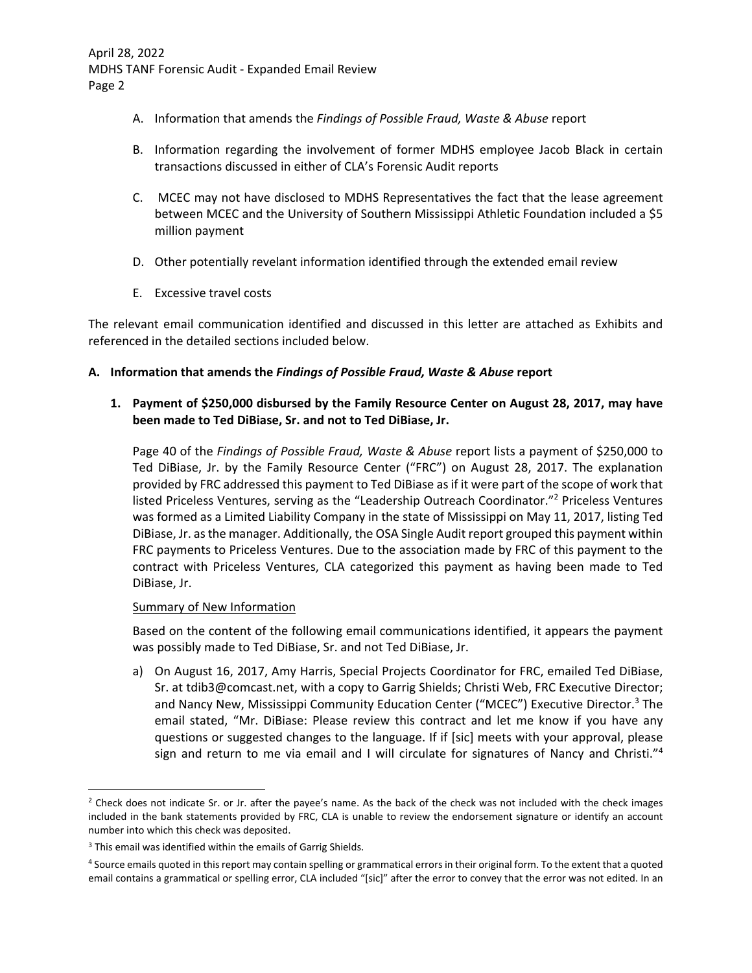- A. Information that amends the *Findings of Possible Fraud, Waste & Abuse* report
- B. Information regarding the involvement of former MDHS employee Jacob Black in certain transactions discussed in either of CLA's Forensic Audit reports
- C. MCEC may not have disclosed to MDHS Representatives the fact that the lease agreement between MCEC and the University of Southern Mississippi Athletic Foundation included a \$5 million payment
- D. Other potentially revelant information identified through the extended email review
- E. Excessive travel costs

The relevant email communication identified and discussed in this letter are attached as Exhibits and referenced in the detailed sections included below.

## **A. Information that amends the** *Findings of Possible Fraud, Waste & Abuse* **report**

## **1. Payment of \$250,000 disbursed by the Family Resource Center on August 28, 2017, may have been made to Ted DiBiase, Sr. and not to Ted DiBiase, Jr.**

Page 40 of the *Findings of Possible Fraud, Waste & Abuse* report lists a payment of \$250,000 to Ted DiBiase, Jr. by the Family Resource Center ("FRC") on August 28, 2017. The explanation provided by FRC addressed this payment to Ted DiBiase asif it were part of the scope of work that listed Priceless Ventures, serving as the "Leadership Outreach Coordinator."2 Priceless Ventures was formed as a Limited Liability Company in the state of Mississippi on May 11, 2017, listing Ted DiBiase, Jr. asthe manager. Additionally, the OSA Single Audit report grouped this payment within FRC payments to Priceless Ventures. Due to the association made by FRC of this payment to the contract with Priceless Ventures, CLA categorized this payment as having been made to Ted DiBiase, Jr.

## Summary of New Information

Based on the content of the following email communications identified, it appears the payment was possibly made to Ted DiBiase, Sr. and not Ted DiBiase, Jr.

a) On August 16, 2017, Amy Harris, Special Projects Coordinator for FRC, emailed Ted DiBiase, Sr. at tdib3@comcast.net, with a copy to Garrig Shields; Christi Web, FRC Executive Director; and Nancy New, Mississippi Community Education Center ("MCEC") Executive Director.<sup>3</sup> The email stated, "Mr. DiBiase: Please review this contract and let me know if you have any questions or suggested changes to the language. If if [sic] meets with your approval, please sign and return to me via email and I will circulate for signatures of Nancy and Christi."<sup>4</sup>

<sup>&</sup>lt;sup>2</sup> Check does not indicate Sr. or Jr. after the payee's name. As the back of the check was not included with the check images included in the bank statements provided by FRC, CLA is unable to review the endorsement signature or identify an account number into which this check was deposited.

<sup>3</sup> This email was identified within the emails of Garrig Shields.

<sup>4</sup> Source emails quoted in thisreport may contain spelling or grammatical errors in their original form. To the extent that a quoted email contains a grammatical or spelling error, CLA included "[sic]" after the error to convey that the error was not edited. In an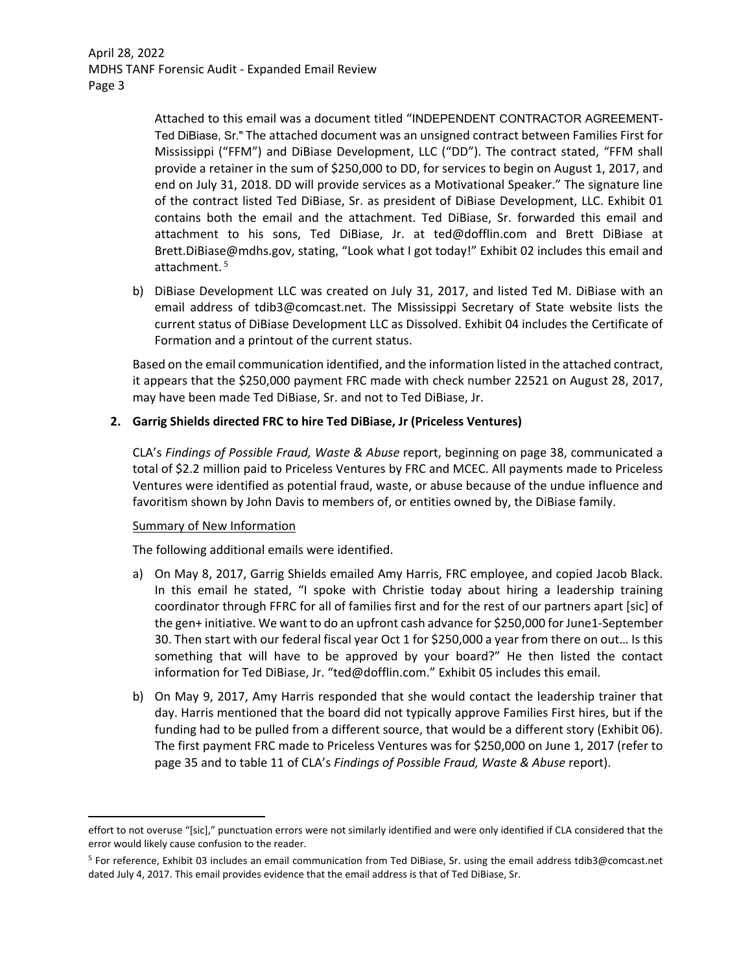> Attached to this email was a document titled "INDEPENDENT CONTRACTOR AGREEMENT-Ted DiBiase, Sr." The attached document was an unsigned contract between Families First for Mississippi ("FFM") and DiBiase Development, LLC ("DD"). The contract stated, "FFM shall provide a retainer in the sum of \$250,000 to DD, for services to begin on August 1, 2017, and end on July 31, 2018. DD will provide services as a Motivational Speaker." The signature line of the contract listed Ted DiBiase, Sr. as president of DiBiase Development, LLC. Exhibit 01 contains both the email and the attachment. Ted DiBiase, Sr. forwarded this email and attachment to his sons, Ted DiBiase, Jr. at ted@dofflin.com and Brett DiBiase at Brett.DiBiase@mdhs.gov, stating, "Look what I got today!" Exhibit 02 includes this email and attachment.<sup>5</sup>

b) DiBiase Development LLC was created on July 31, 2017, and listed Ted M. DiBiase with an email address of tdib3@comcast.net. The Mississippi Secretary of State website lists the current status of DiBiase Development LLC as Dissolved. Exhibit 04 includes the Certificate of Formation and a printout of the current status.

Based on the email communication identified, and the information listed in the attached contract, it appears that the \$250,000 payment FRC made with check number 22521 on August 28, 2017, may have been made Ted DiBiase, Sr. and not to Ted DiBiase, Jr.

## **2. Garrig Shields directed FRC to hire Ted DiBiase, Jr (Priceless Ventures)**

CLA's *Findings of Possible Fraud, Waste & Abuse* report, beginning on page 38, communicated a total of \$2.2 million paid to Priceless Ventures by FRC and MCEC. All payments made to Priceless Ventures were identified as potential fraud, waste, or abuse because of the undue influence and favoritism shown by John Davis to members of, or entities owned by, the DiBiase family.

### Summary of New Information

The following additional emails were identified.

- a) On May 8, 2017, Garrig Shields emailed Amy Harris, FRC employee, and copied Jacob Black. In this email he stated, "I spoke with Christie today about hiring a leadership training coordinator through FFRC for all of families first and for the rest of our partners apart [sic] of the gen+ initiative. We want to do an upfront cash advance for \$250,000 for June1‐September 30. Then start with our federal fiscal year Oct 1 for \$250,000 a year from there on out… Is this something that will have to be approved by your board?" He then listed the contact information for Ted DiBiase, Jr. "ted@dofflin.com." Exhibit 05 includes this email.
- b) On May 9, 2017, Amy Harris responded that she would contact the leadership trainer that day. Harris mentioned that the board did not typically approve Families First hires, but if the funding had to be pulled from a different source, that would be a different story (Exhibit 06). The first payment FRC made to Priceless Ventures was for \$250,000 on June 1, 2017 (refer to page 35 and to table 11 of CLA's *Findings of Possible Fraud, Waste & Abuse* report).

effort to not overuse "[sic]," punctuation errors were not similarly identified and were only identified if CLA considered that the error would likely cause confusion to the reader.

<sup>5</sup> For reference, Exhibit 03 includes an email communication from Ted DiBiase, Sr. using the email address tdib3@comcast.net dated July 4, 2017. This email provides evidence that the email address is that of Ted DiBiase, Sr.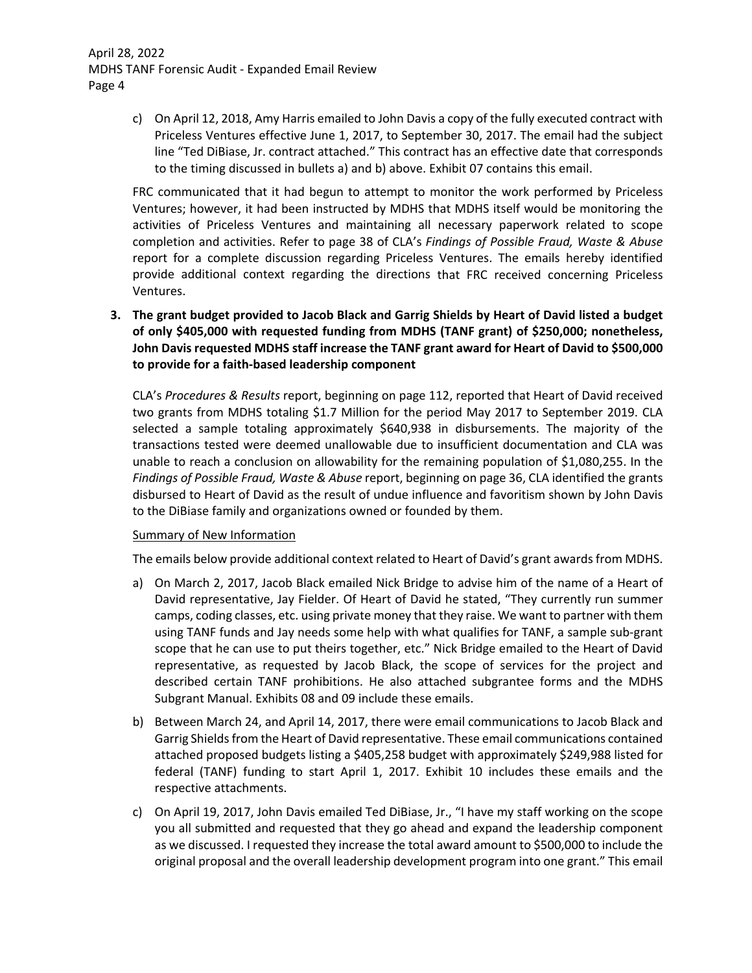c) On April 12, 2018, Amy Harris emailed to John Davis a copy of the fully executed contract with Priceless Ventures effective June 1, 2017, to September 30, 2017. The email had the subject line "Ted DiBiase, Jr. contract attached." This contract has an effective date that corresponds to the timing discussed in bullets a) and b) above. Exhibit 07 contains this email.

FRC communicated that it had begun to attempt to monitor the work performed by Priceless Ventures; however, it had been instructed by MDHS that MDHS itself would be monitoring the activities of Priceless Ventures and maintaining all necessary paperwork related to scope completion and activities. Refer to page 38 of CLA's *Findings of Possible Fraud, Waste & Abuse* report for a complete discussion regarding Priceless Ventures. The emails hereby identified provide additional context regarding the directions that FRC received concerning Priceless Ventures.

**3. The grant budget provided to Jacob Black and Garrig Shields by Heart of David listed a budget of only \$405,000 with requested funding from MDHS (TANF grant) of \$250,000; nonetheless, John Davis requested MDHS staff increase the TANF grant award for Heart of David to \$500,000 to provide for a faith‐based leadership component**

CLA's *Procedures & Results* report, beginning on page 112, reported that Heart of David received two grants from MDHS totaling \$1.7 Million for the period May 2017 to September 2019. CLA selected a sample totaling approximately \$640,938 in disbursements. The majority of the transactions tested were deemed unallowable due to insufficient documentation and CLA was unable to reach a conclusion on allowability for the remaining population of \$1,080,255. In the *Findings of Possible Fraud, Waste & Abuse* report, beginning on page 36, CLA identified the grants disbursed to Heart of David as the result of undue influence and favoritism shown by John Davis to the DiBiase family and organizations owned or founded by them.

### Summary of New Information

The emails below provide additional context related to Heart of David's grant awardsfrom MDHS.

- a) On March 2, 2017, Jacob Black emailed Nick Bridge to advise him of the name of a Heart of David representative, Jay Fielder. Of Heart of David he stated, "They currently run summer camps, coding classes, etc. using private money that they raise. We want to partner with them using TANF funds and Jay needs some help with what qualifies for TANF, a sample sub‐grant scope that he can use to put theirs together, etc." Nick Bridge emailed to the Heart of David representative, as requested by Jacob Black, the scope of services for the project and described certain TANF prohibitions. He also attached subgrantee forms and the MDHS Subgrant Manual. Exhibits 08 and 09 include these emails.
- b) Between March 24, and April 14, 2017, there were email communications to Jacob Black and Garrig Shieldsfrom the Heart of David representative. These email communications contained attached proposed budgets listing a \$405,258 budget with approximately \$249,988 listed for federal (TANF) funding to start April 1, 2017. Exhibit 10 includes these emails and the respective attachments.
- c) On April 19, 2017, John Davis emailed Ted DiBiase, Jr., "I have my staff working on the scope you all submitted and requested that they go ahead and expand the leadership component as we discussed. I requested they increase the total award amount to \$500,000 to include the original proposal and the overall leadership development program into one grant." This email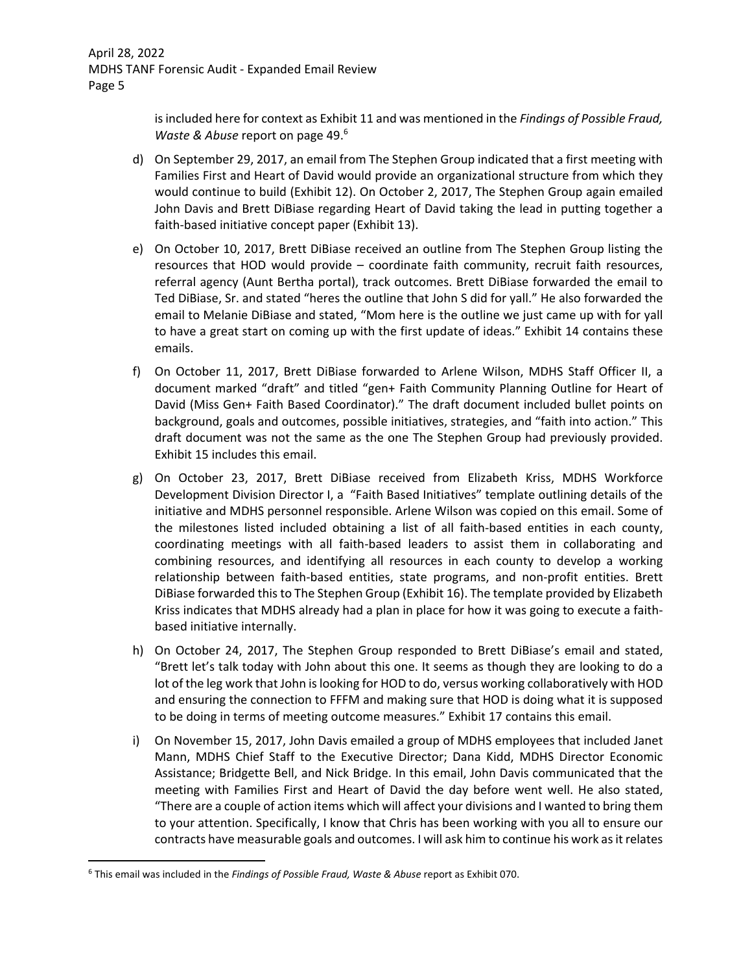isincluded here for context as Exhibit 11 and was mentioned in the *Findings of Possible Fraud, Waste & Abuse* report on page 49.6

- d) On September 29, 2017, an email from The Stephen Group indicated that a first meeting with Families First and Heart of David would provide an organizational structure from which they would continue to build (Exhibit 12). On October 2, 2017, The Stephen Group again emailed John Davis and Brett DiBiase regarding Heart of David taking the lead in putting together a faith‐based initiative concept paper (Exhibit 13).
- e) On October 10, 2017, Brett DiBiase received an outline from The Stephen Group listing the resources that HOD would provide – coordinate faith community, recruit faith resources, referral agency (Aunt Bertha portal), track outcomes. Brett DiBiase forwarded the email to Ted DiBiase, Sr. and stated "heres the outline that John S did for yall." He also forwarded the email to Melanie DiBiase and stated, "Mom here is the outline we just came up with for yall to have a great start on coming up with the first update of ideas." Exhibit 14 contains these emails.
- f) On October 11, 2017, Brett DiBiase forwarded to Arlene Wilson, MDHS Staff Officer II, a document marked "draft" and titled "gen+ Faith Community Planning Outline for Heart of David (Miss Gen+ Faith Based Coordinator)." The draft document included bullet points on background, goals and outcomes, possible initiatives, strategies, and "faith into action." This draft document was not the same as the one The Stephen Group had previously provided. Exhibit 15 includes this email.
- g) On October 23, 2017, Brett DiBiase received from Elizabeth Kriss, MDHS Workforce Development Division Director I, a "Faith Based Initiatives" template outlining details of the initiative and MDHS personnel responsible. Arlene Wilson was copied on this email. Some of the milestones listed included obtaining a list of all faith‐based entities in each county, coordinating meetings with all faith‐based leaders to assist them in collaborating and combining resources, and identifying all resources in each county to develop a working relationship between faith‐based entities, state programs, and non‐profit entities. Brett DiBiase forwarded thisto The Stephen Group (Exhibit 16). The template provided by Elizabeth Kriss indicates that MDHS already had a plan in place for how it was going to execute a faith‐ based initiative internally.
- h) On October 24, 2017, The Stephen Group responded to Brett DiBiase's email and stated, "Brett let's talk today with John about this one. It seems as though they are looking to do a lot of the leg work that John is looking for HOD to do, versus working collaboratively with HOD and ensuring the connection to FFFM and making sure that HOD is doing what it is supposed to be doing in terms of meeting outcome measures." Exhibit 17 contains this email.
- i) On November 15, 2017, John Davis emailed a group of MDHS employees that included Janet Mann, MDHS Chief Staff to the Executive Director; Dana Kidd, MDHS Director Economic Assistance; Bridgette Bell, and Nick Bridge. In this email, John Davis communicated that the meeting with Families First and Heart of David the day before went well. He also stated, "There are a couple of action items which will affect your divisions and I wanted to bring them to your attention. Specifically, I know that Chris has been working with you all to ensure our contracts have measurable goals and outcomes. I will ask him to continue his work asit relates

<sup>6</sup> This email was included in the *Findings of Possible Fraud, Waste & Abuse* report as Exhibit 070.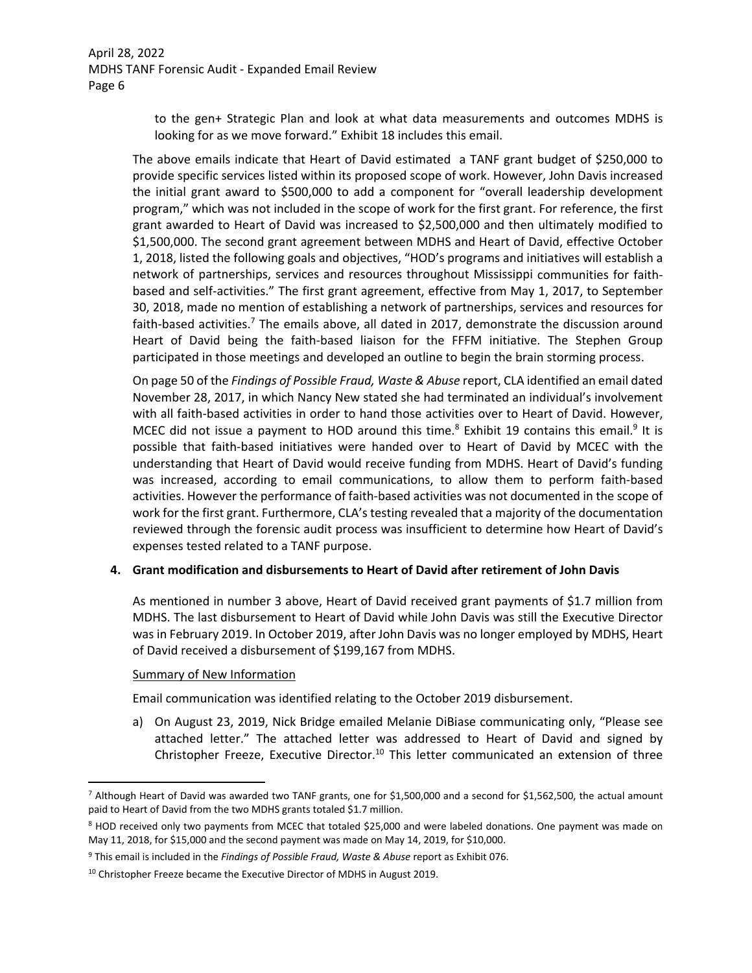> to the gen+ Strategic Plan and look at what data measurements and outcomes MDHS is looking for as we move forward." Exhibit 18 includes this email.

The above emails indicate that Heart of David estimated a TANF grant budget of \$250,000 to provide specific services listed within its proposed scope of work. However, John Davis increased the initial grant award to \$500,000 to add a component for "overall leadership development program," which was not included in the scope of work for the first grant. For reference, the first grant awarded to Heart of David was increased to \$2,500,000 and then ultimately modified to \$1,500,000. The second grant agreement between MDHS and Heart of David, effective October 1, 2018, listed the following goals and objectives, "HOD's programs and initiatives will establish a network of partnerships, services and resources throughout Mississippi communities for faith‐ based and self‐activities." The first grant agreement, effective from May 1, 2017, to September 30, 2018, made no mention of establishing a network of partnerships, services and resources for faith-based activities.<sup>7</sup> The emails above, all dated in 2017, demonstrate the discussion around Heart of David being the faith‐based liaison for the FFFM initiative. The Stephen Group participated in those meetings and developed an outline to begin the brain storming process.

On page 50 of the *Findings of Possible Fraud, Waste & Abuse* report, CLA identified an email dated November 28, 2017, in which Nancy New stated she had terminated an individual's involvement with all faith‐based activities in order to hand those activities over to Heart of David. However, MCEC did not issue a payment to HOD around this time.<sup>8</sup> Exhibit 19 contains this email.<sup>9</sup> It is possible that faith‐based initiatives were handed over to Heart of David by MCEC with the understanding that Heart of David would receive funding from MDHS. Heart of David's funding was increased, according to email communications, to allow them to perform faith-based activities. However the performance of faith-based activities was not documented in the scope of work for the first grant. Furthermore, CLA's testing revealed that a majority of the documentation reviewed through the forensic audit process was insufficient to determine how Heart of David's expenses tested related to a TANF purpose.

### **4. Grant modification and disbursements to Heart of David after retirement of John Davis**

As mentioned in number 3 above, Heart of David received grant payments of \$1.7 million from MDHS. The last disbursement to Heart of David while John Davis was still the Executive Director was in February 2019. In October 2019, after John Davis was no longer employed by MDHS, Heart of David received a disbursement of \$199,167 from MDHS.

#### Summary of New Information

Email communication was identified relating to the October 2019 disbursement.

a) On August 23, 2019, Nick Bridge emailed Melanie DiBiase communicating only, "Please see attached letter." The attached letter was addressed to Heart of David and signed by Christopher Freeze, Executive Director.<sup>10</sup> This letter communicated an extension of three

<sup>7</sup> Although Heart of David was awarded two TANF grants, one for \$1,500,000 and a second for \$1,562,500, the actual amount paid to Heart of David from the two MDHS grants totaled \$1.7 million.

<sup>8</sup> HOD received only two payments from MCEC that totaled \$25,000 and were labeled donations. One payment was made on May 11, 2018, for \$15,000 and the second payment was made on May 14, 2019, for \$10,000.

<sup>9</sup> This email is included in the *Findings of Possible Fraud, Waste & Abuse* report as Exhibit 076.

 $10$  Christopher Freeze became the Executive Director of MDHS in August 2019.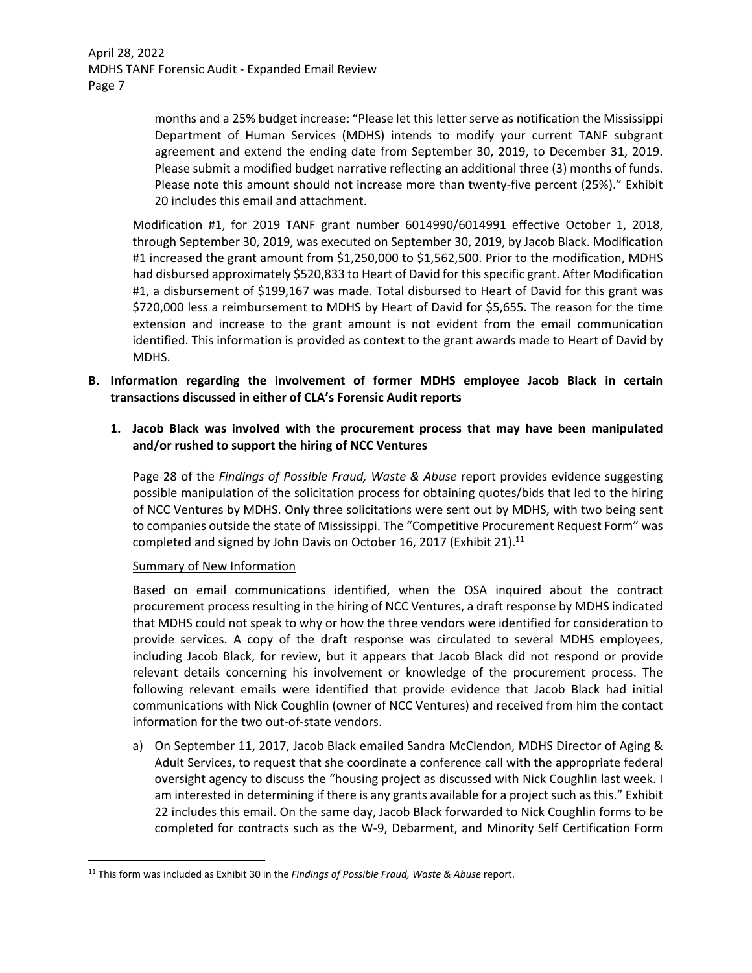> months and a 25% budget increase: "Please let this letter serve as notification the Mississippi Department of Human Services (MDHS) intends to modify your current TANF subgrant agreement and extend the ending date from September 30, 2019, to December 31, 2019. Please submit a modified budget narrative reflecting an additional three (3) months of funds. Please note this amount should not increase more than twenty‐five percent (25%)." Exhibit 20 includes this email and attachment.

Modification #1, for 2019 TANF grant number 6014990/6014991 effective October 1, 2018, through September 30, 2019, was executed on September 30, 2019, by Jacob Black. Modification #1 increased the grant amount from \$1,250,000 to \$1,562,500. Prior to the modification, MDHS had disbursed approximately \$520,833 to Heart of David for this specific grant. After Modification #1, a disbursement of \$199,167 was made. Total disbursed to Heart of David for this grant was \$720,000 less a reimbursement to MDHS by Heart of David for \$5,655. The reason for the time extension and increase to the grant amount is not evident from the email communication identified. This information is provided as context to the grant awards made to Heart of David by MDHS.

- **B. Information regarding the involvement of former MDHS employee Jacob Black in certain transactions discussed in either of CLA's Forensic Audit reports** 
	- **1. Jacob Black was involved with the procurement process that may have been manipulated and/or rushed to support the hiring of NCC Ventures**

Page 28 of the *Findings of Possible Fraud, Waste & Abuse* report provides evidence suggesting possible manipulation of the solicitation process for obtaining quotes/bids that led to the hiring of NCC Ventures by MDHS. Only three solicitations were sent out by MDHS, with two being sent to companies outside the state of Mississippi. The "Competitive Procurement Request Form" was completed and signed by John Davis on October 16, 2017 (Exhibit 21). $^{11}$ 

### Summary of New Information

Based on email communications identified, when the OSA inquired about the contract procurement process resulting in the hiring of NCC Ventures, a draft response by MDHS indicated that MDHS could not speak to why or how the three vendors were identified for consideration to provide services. A copy of the draft response was circulated to several MDHS employees, including Jacob Black, for review, but it appears that Jacob Black did not respond or provide relevant details concerning his involvement or knowledge of the procurement process. The following relevant emails were identified that provide evidence that Jacob Black had initial communications with Nick Coughlin (owner of NCC Ventures) and received from him the contact information for the two out‐of‐state vendors.

a) On September 11, 2017, Jacob Black emailed Sandra McClendon, MDHS Director of Aging & Adult Services, to request that she coordinate a conference call with the appropriate federal oversight agency to discuss the "housing project as discussed with Nick Coughlin last week. I am interested in determining if there is any grants available for a project such as this." Exhibit 22 includes this email. On the same day, Jacob Black forwarded to Nick Coughlin forms to be completed for contracts such as the W‐9, Debarment, and Minority Self Certification Form

<sup>11</sup> This form was included as Exhibit 30 in the *Findings of Possible Fraud, Waste & Abuse* report.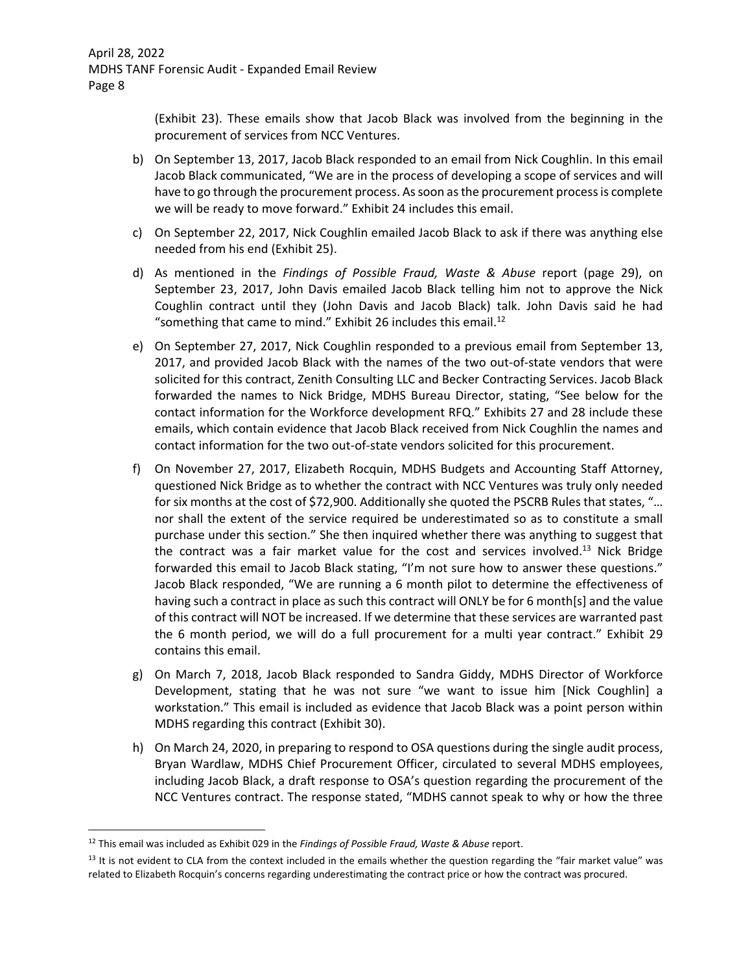(Exhibit 23). These emails show that Jacob Black was involved from the beginning in the procurement of services from NCC Ventures.

- b) On September 13, 2017, Jacob Black responded to an email from Nick Coughlin. In this email Jacob Black communicated, "We are in the process of developing a scope of services and will have to go through the procurement process. Assoon asthe procurement processis complete we will be ready to move forward." Exhibit 24 includes this email.
- c) On September 22, 2017, Nick Coughlin emailed Jacob Black to ask if there was anything else needed from his end (Exhibit 25).
- d) As mentioned in the *Findings of Possible Fraud, Waste & Abuse* report (page 29), on September 23, 2017, John Davis emailed Jacob Black telling him not to approve the Nick Coughlin contract until they (John Davis and Jacob Black) talk. John Davis said he had "something that came to mind." Exhibit 26 includes this email. $^{12}$
- e) On September 27, 2017, Nick Coughlin responded to a previous email from September 13, 2017, and provided Jacob Black with the names of the two out‐of‐state vendors that were solicited for this contract, Zenith Consulting LLC and Becker Contracting Services. Jacob Black forwarded the names to Nick Bridge, MDHS Bureau Director, stating, "See below for the contact information for the Workforce development RFQ." Exhibits 27 and 28 include these emails, which contain evidence that Jacob Black received from Nick Coughlin the names and contact information for the two out‐of‐state vendors solicited for this procurement.
- f) On November 27, 2017, Elizabeth Rocquin, MDHS Budgets and Accounting Staff Attorney, questioned Nick Bridge as to whether the contract with NCC Ventures was truly only needed for six months at the cost of \$72,900. Additionally she quoted the PSCRB Rules that states, "… nor shall the extent of the service required be underestimated so as to constitute a small purchase under this section." She then inquired whether there was anything to suggest that the contract was a fair market value for the cost and services involved.<sup>13</sup> Nick Bridge forwarded this email to Jacob Black stating, "I'm not sure how to answer these questions." Jacob Black responded, "We are running a 6 month pilot to determine the effectiveness of having such a contract in place as such this contract will ONLY be for 6 month[s] and the value of this contract will NOT be increased. If we determine that these services are warranted past the 6 month period, we will do a full procurement for a multi year contract." Exhibit 29 contains this email.
- g) On March 7, 2018, Jacob Black responded to Sandra Giddy, MDHS Director of Workforce Development, stating that he was not sure "we want to issue him [Nick Coughlin] a workstation." This email is included as evidence that Jacob Black was a point person within MDHS regarding this contract (Exhibit 30).
- h) On March 24, 2020, in preparing to respond to OSA questions during the single audit process, Bryan Wardlaw, MDHS Chief Procurement Officer, circulated to several MDHS employees, including Jacob Black, a draft response to OSA's question regarding the procurement of the NCC Ventures contract. The response stated, "MDHS cannot speak to why or how the three

<sup>12</sup> This email was included as Exhibit 029 in the *Findings of Possible Fraud, Waste & Abuse* report.

 $13$  It is not evident to CLA from the context included in the emails whether the question regarding the "fair market value" was related to Elizabeth Rocquin's concerns regarding underestimating the contract price or how the contract was procured.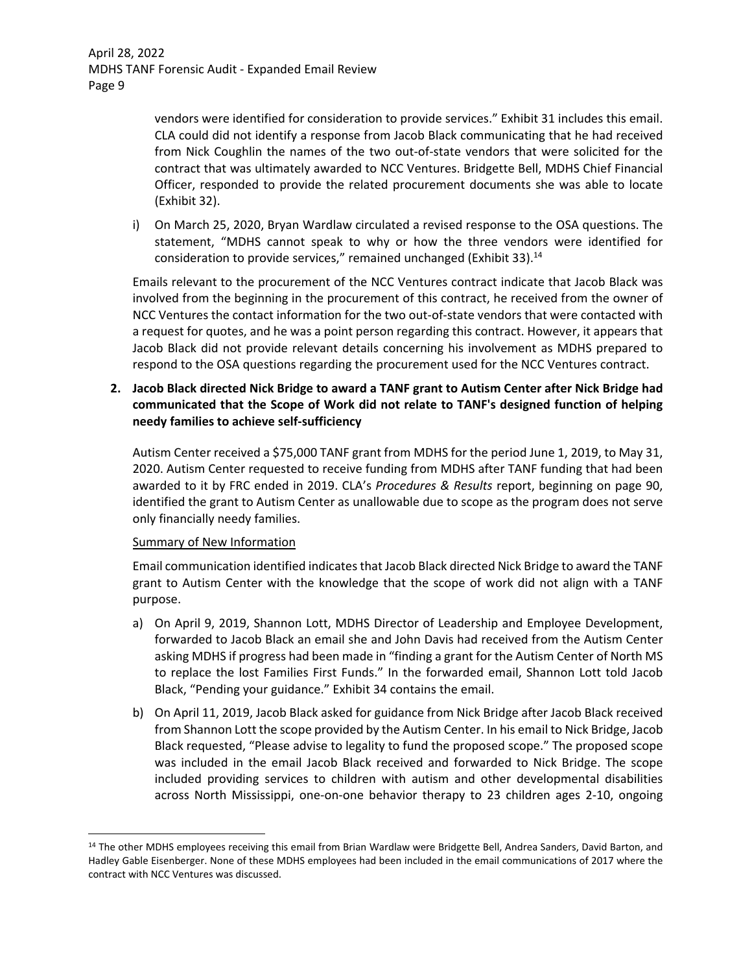> vendors were identified for consideration to provide services." Exhibit 31 includes this email. CLA could did not identify a response from Jacob Black communicating that he had received from Nick Coughlin the names of the two out‐of‐state vendors that were solicited for the contract that was ultimately awarded to NCC Ventures. Bridgette Bell, MDHS Chief Financial Officer, responded to provide the related procurement documents she was able to locate (Exhibit 32).

i) On March 25, 2020, Bryan Wardlaw circulated a revised response to the OSA questions. The statement, "MDHS cannot speak to why or how the three vendors were identified for consideration to provide services," remained unchanged (Exhibit 33). $<sup>14</sup>$ </sup>

Emails relevant to the procurement of the NCC Ventures contract indicate that Jacob Black was involved from the beginning in the procurement of this contract, he received from the owner of NCC Ventures the contact information for the two out‐of‐state vendors that were contacted with a request for quotes, and he was a point person regarding this contract. However, it appears that Jacob Black did not provide relevant details concerning his involvement as MDHS prepared to respond to the OSA questions regarding the procurement used for the NCC Ventures contract.

**2. Jacob Black directed Nick Bridge to award a TANF grant to Autism Center after Nick Bridge had communicated that the Scope of Work did not relate to TANF's designed function of helping needy families to achieve self‐sufficiency**

Autism Center received a \$75,000 TANF grant from MDHS for the period June 1, 2019, to May 31, 2020. Autism Center requested to receive funding from MDHS after TANF funding that had been awarded to it by FRC ended in 2019. CLA's *Procedures & Results* report, beginning on page 90, identified the grant to Autism Center as unallowable due to scope as the program does not serve only financially needy families.

## Summary of New Information

Email communication identified indicatesthat Jacob Black directed Nick Bridge to award the TANF grant to Autism Center with the knowledge that the scope of work did not align with a TANF purpose.

- a) On April 9, 2019, Shannon Lott, MDHS Director of Leadership and Employee Development, forwarded to Jacob Black an email she and John Davis had received from the Autism Center asking MDHS if progress had been made in "finding a grant for the Autism Center of North MS to replace the lost Families First Funds." In the forwarded email, Shannon Lott told Jacob Black, "Pending your guidance." Exhibit 34 contains the email.
- b) On April 11, 2019, Jacob Black asked for guidance from Nick Bridge after Jacob Black received from Shannon Lott the scope provided by the Autism Center. In his email to Nick Bridge, Jacob Black requested, "Please advise to legality to fund the proposed scope." The proposed scope was included in the email Jacob Black received and forwarded to Nick Bridge. The scope included providing services to children with autism and other developmental disabilities across North Mississippi, one‐on‐one behavior therapy to 23 children ages 2‐10, ongoing

<sup>&</sup>lt;sup>14</sup> The other MDHS employees receiving this email from Brian Wardlaw were Bridgette Bell, Andrea Sanders, David Barton, and Hadley Gable Eisenberger. None of these MDHS employees had been included in the email communications of 2017 where the contract with NCC Ventures was discussed.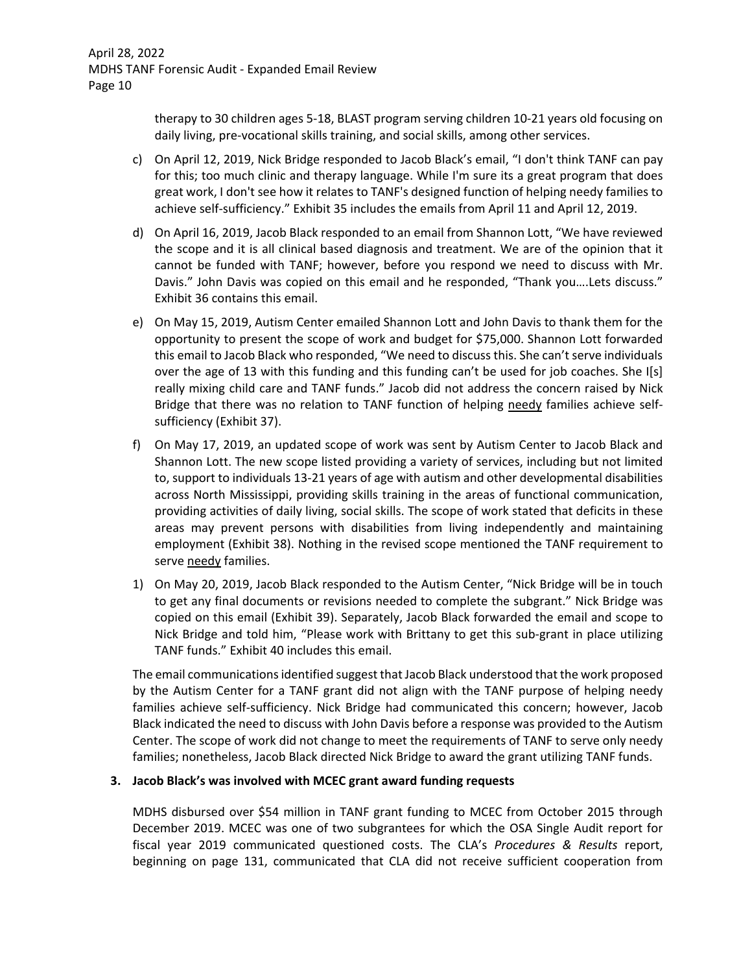therapy to 30 children ages 5‐18, BLAST program serving children 10‐21 years old focusing on daily living, pre‐vocational skills training, and social skills, among other services.

- c) On April 12, 2019, Nick Bridge responded to Jacob Black's email, "I don't think TANF can pay for this; too much clinic and therapy language. While I'm sure its a great program that does great work, I don't see how it relates to TANF's designed function of helping needy families to achieve self-sufficiency." Exhibit 35 includes the emails from April 11 and April 12, 2019.
- d) On April 16, 2019, Jacob Black responded to an email from Shannon Lott, "We have reviewed the scope and it is all clinical based diagnosis and treatment. We are of the opinion that it cannot be funded with TANF; however, before you respond we need to discuss with Mr. Davis." John Davis was copied on this email and he responded, "Thank you….Lets discuss." Exhibit 36 contains this email.
- e) On May 15, 2019, Autism Center emailed Shannon Lott and John Davis to thank them for the opportunity to present the scope of work and budget for \$75,000. Shannon Lott forwarded this email to Jacob Black who responded, "We need to discuss this. She can't serve individuals over the age of 13 with this funding and this funding can't be used for job coaches. She I[s] really mixing child care and TANF funds." Jacob did not address the concern raised by Nick Bridge that there was no relation to TANF function of helping needy families achieve selfsufficiency (Exhibit 37).
- f) On May 17, 2019, an updated scope of work was sent by Autism Center to Jacob Black and Shannon Lott. The new scope listed providing a variety of services, including but not limited to, support to individuals 13‐21 years of age with autism and other developmental disabilities across North Mississippi, providing skills training in the areas of functional communication, providing activities of daily living, social skills. The scope of work stated that deficits in these areas may prevent persons with disabilities from living independently and maintaining employment (Exhibit 38). Nothing in the revised scope mentioned the TANF requirement to serve needy families.
- 1) On May 20, 2019, Jacob Black responded to the Autism Center, "Nick Bridge will be in touch to get any final documents or revisions needed to complete the subgrant." Nick Bridge was copied on this email (Exhibit 39). Separately, Jacob Black forwarded the email and scope to Nick Bridge and told him, "Please work with Brittany to get this sub‐grant in place utilizing TANF funds." Exhibit 40 includes this email.

The email communicationsidentified suggest that Jacob Black understood that the work proposed by the Autism Center for a TANF grant did not align with the TANF purpose of helping needy families achieve self-sufficiency. Nick Bridge had communicated this concern; however, Jacob Black indicated the need to discuss with John Davis before a response was provided to the Autism Center. The scope of work did not change to meet the requirements of TANF to serve only needy families; nonetheless, Jacob Black directed Nick Bridge to award the grant utilizing TANF funds.

## **3. Jacob Black's was involved with MCEC grant award funding requests**

MDHS disbursed over \$54 million in TANF grant funding to MCEC from October 2015 through December 2019. MCEC was one of two subgrantees for which the OSA Single Audit report for fiscal year 2019 communicated questioned costs. The CLA's *Procedures & Results* report, beginning on page 131, communicated that CLA did not receive sufficient cooperation from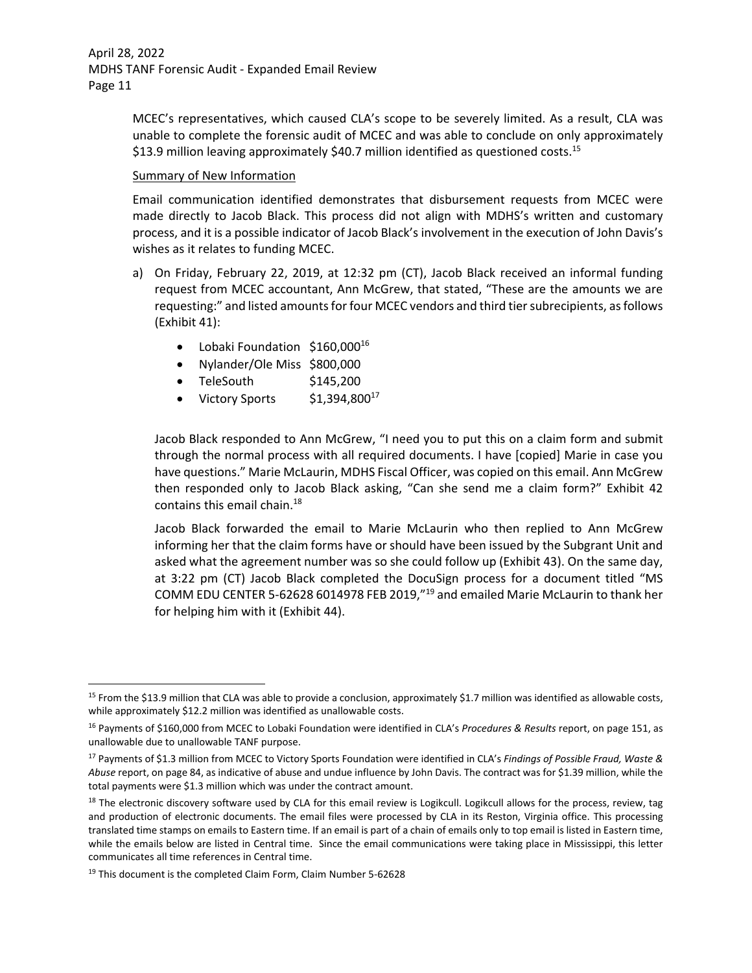> MCEC's representatives, which caused CLA's scope to be severely limited. As a result, CLA was unable to complete the forensic audit of MCEC and was able to conclude on only approximately \$13.9 million leaving approximately \$40.7 million identified as questioned costs.<sup>15</sup>

### Summary of New Information

Email communication identified demonstrates that disbursement requests from MCEC were made directly to Jacob Black. This process did not align with MDHS's written and customary process, and it is a possible indicator of Jacob Black's involvement in the execution of John Davis's wishes as it relates to funding MCEC.

- a) On Friday, February 22, 2019, at 12:32 pm (CT), Jacob Black received an informal funding request from MCEC accountant, Ann McGrew, that stated, "These are the amounts we are requesting:" and listed amounts for four MCEC vendors and third tier subrecipients, as follows (Exhibit 41):
	- Lobaki Foundation \$160,000<sup>16</sup>
	- Nylander/Ole Miss \$800,000
	- $\bullet$  TeleSouth  $$145,200$
	- Victory Sports  $$1,394,800^{17}$

Jacob Black responded to Ann McGrew, "I need you to put this on a claim form and submit through the normal process with all required documents. I have [copied] Marie in case you have questions." Marie McLaurin, MDHS Fiscal Officer, was copied on this email. Ann McGrew then responded only to Jacob Black asking, "Can she send me a claim form?" Exhibit 42 contains this email chain.<sup>18</sup>

Jacob Black forwarded the email to Marie McLaurin who then replied to Ann McGrew informing her that the claim forms have or should have been issued by the Subgrant Unit and asked what the agreement number was so she could follow up (Exhibit 43). On the same day, at 3:22 pm (CT) Jacob Black completed the DocuSign process for a document titled "MS COMM EDU CENTER 5‐62628 6014978 FEB 2019,"19 and emailed Marie McLaurin to thank her for helping him with it (Exhibit 44).

<sup>&</sup>lt;sup>15</sup> From the \$13.9 million that CLA was able to provide a conclusion, approximately \$1.7 million was identified as allowable costs, while approximately \$12.2 million was identified as unallowable costs.

<sup>16</sup> Payments of \$160,000 from MCEC to Lobaki Foundation were identified in CLA's *Procedures & Results* report, on page 151, as unallowable due to unallowable TANF purpose.

<sup>17</sup> Payments of \$1.3 million from MCEC to Victory Sports Foundation were identified in CLA's *Findings of Possible Fraud, Waste & Abuse* report, on page 84, as indicative of abuse and undue influence by John Davis. The contract was for \$1.39 million, while the total payments were \$1.3 million which was under the contract amount.

<sup>&</sup>lt;sup>18</sup> The electronic discovery software used by CLA for this email review is Logikcull. Logikcull allows for the process, review, tag and production of electronic documents. The email files were processed by CLA in its Reston, Virginia office. This processing translated time stamps on emails to Eastern time. If an email is part of a chain of emails only to top email is listed in Eastern time, while the emails below are listed in Central time. Since the email communications were taking place in Mississippi, this letter communicates all time references in Central time.

<sup>19</sup> This document is the completed Claim Form, Claim Number 5-62628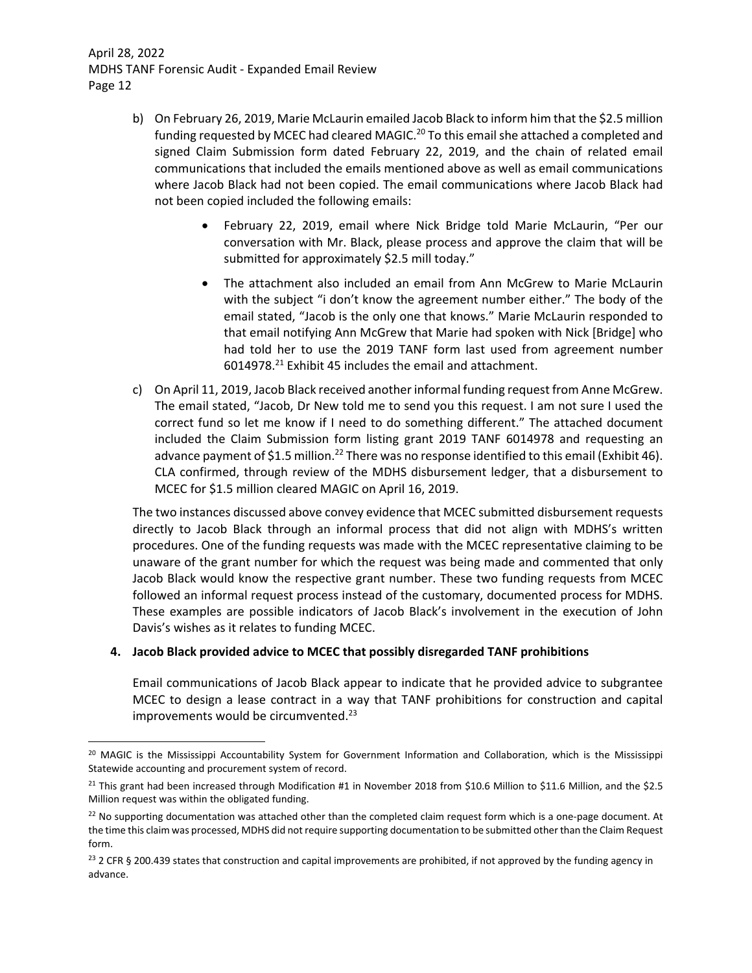- b) On February 26, 2019, Marie McLaurin emailed Jacob Black to inform him that the \$2.5 million funding requested by MCEC had cleared MAGIC.<sup>20</sup> To this email she attached a completed and signed Claim Submission form dated February 22, 2019, and the chain of related email communications that included the emails mentioned above as well as email communications where Jacob Black had not been copied. The email communications where Jacob Black had not been copied included the following emails:
	- February 22, 2019, email where Nick Bridge told Marie McLaurin, "Per our conversation with Mr. Black, please process and approve the claim that will be submitted for approximately \$2.5 mill today."
	- The attachment also included an email from Ann McGrew to Marie McLaurin with the subject "i don't know the agreement number either." The body of the email stated, "Jacob is the only one that knows." Marie McLaurin responded to that email notifying Ann McGrew that Marie had spoken with Nick [Bridge] who had told her to use the 2019 TANF form last used from agreement number 6014978.<sup>21</sup> Exhibit 45 includes the email and attachment.
- c) On April 11, 2019, Jacob Black received another informal funding request from Anne McGrew. The email stated, "Jacob, Dr New told me to send you this request. I am not sure I used the correct fund so let me know if I need to do something different." The attached document included the Claim Submission form listing grant 2019 TANF 6014978 and requesting an advance payment of \$1.5 million.<sup>22</sup> There was no response identified to this email (Exhibit 46). CLA confirmed, through review of the MDHS disbursement ledger, that a disbursement to MCEC for \$1.5 million cleared MAGIC on April 16, 2019.

The two instances discussed above convey evidence that MCEC submitted disbursement requests directly to Jacob Black through an informal process that did not align with MDHS's written procedures. One of the funding requests was made with the MCEC representative claiming to be unaware of the grant number for which the request was being made and commented that only Jacob Black would know the respective grant number. These two funding requests from MCEC followed an informal request process instead of the customary, documented process for MDHS. These examples are possible indicators of Jacob Black's involvement in the execution of John Davis's wishes as it relates to funding MCEC.

## **4. Jacob Black provided advice to MCEC that possibly disregarded TANF prohibitions**

Email communications of Jacob Black appear to indicate that he provided advice to subgrantee MCEC to design a lease contract in a way that TANF prohibitions for construction and capital improvements would be circumvented.<sup>23</sup>

<sup>&</sup>lt;sup>20</sup> MAGIC is the Mississippi Accountability System for Government Information and Collaboration, which is the Mississippi Statewide accounting and procurement system of record.

<sup>&</sup>lt;sup>21</sup> This grant had been increased through Modification #1 in November 2018 from \$10.6 Million to \$11.6 Million, and the \$2.5 Million request was within the obligated funding.

<sup>&</sup>lt;sup>22</sup> No supporting documentation was attached other than the completed claim request form which is a one-page document. At the time this claim was processed, MDHS did not require supporting documentation to be submitted other than the Claim Request form.

 $23$  2 CFR § 200.439 states that construction and capital improvements are prohibited, if not approved by the funding agency in advance.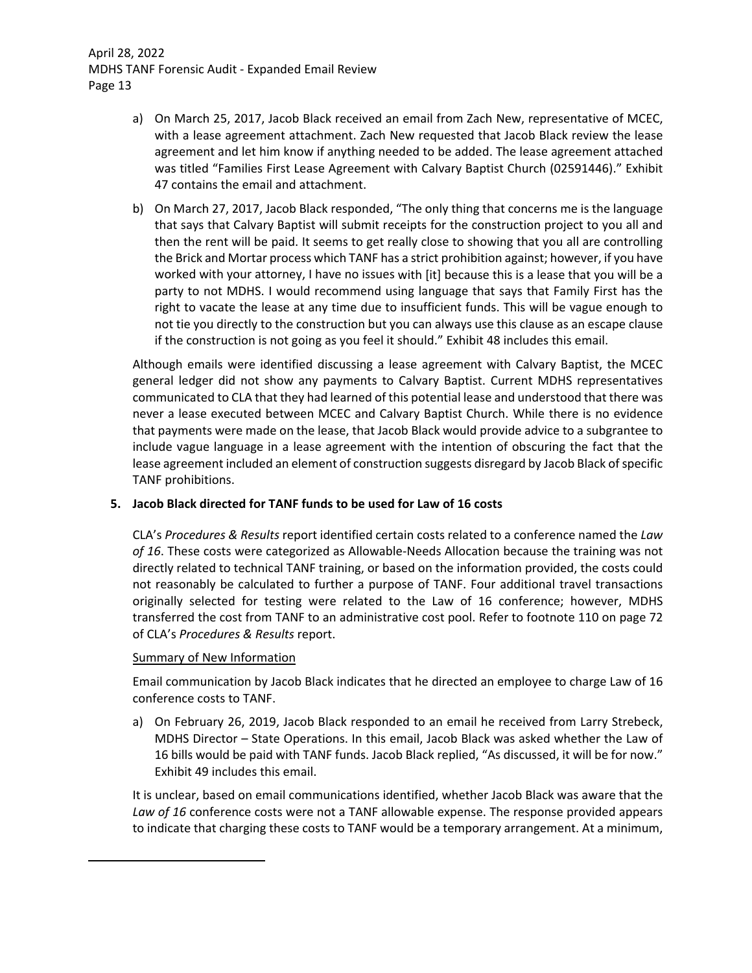- a) On March 25, 2017, Jacob Black received an email from Zach New, representative of MCEC, with a lease agreement attachment. Zach New requested that Jacob Black review the lease agreement and let him know if anything needed to be added. The lease agreement attached was titled "Families First Lease Agreement with Calvary Baptist Church (02591446)." Exhibit 47 contains the email and attachment.
- b) On March 27, 2017, Jacob Black responded, "The only thing that concerns me is the language that says that Calvary Baptist will submit receipts for the construction project to you all and then the rent will be paid. It seems to get really close to showing that you all are controlling the Brick and Mortar process which TANF has a strict prohibition against; however, if you have worked with your attorney, I have no issues with [it] because this is a lease that you will be a party to not MDHS. I would recommend using language that says that Family First has the right to vacate the lease at any time due to insufficient funds. This will be vague enough to not tie you directly to the construction but you can always use this clause as an escape clause if the construction is not going as you feel it should." Exhibit 48 includes this email.

Although emails were identified discussing a lease agreement with Calvary Baptist, the MCEC general ledger did not show any payments to Calvary Baptist. Current MDHS representatives communicated to CLA that they had learned of this potential lease and understood that there was never a lease executed between MCEC and Calvary Baptist Church. While there is no evidence that payments were made on the lease, that Jacob Black would provide advice to a subgrantee to include vague language in a lease agreement with the intention of obscuring the fact that the lease agreement included an element of construction suggests disregard by Jacob Black of specific TANF prohibitions.

## **5. Jacob Black directed for TANF funds to be used for Law of 16 costs**

CLA's *Procedures & Results* report identified certain costs related to a conference named the *Law of 16*. These costs were categorized as Allowable‐Needs Allocation because the training was not directly related to technical TANF training, or based on the information provided, the costs could not reasonably be calculated to further a purpose of TANF. Four additional travel transactions originally selected for testing were related to the Law of 16 conference; however, MDHS transferred the cost from TANF to an administrative cost pool. Refer to footnote 110 on page 72 of CLA's *Procedures & Results* report.

## Summary of New Information

Email communication by Jacob Black indicates that he directed an employee to charge Law of 16 conference costs to TANF.

a) On February 26, 2019, Jacob Black responded to an email he received from Larry Strebeck, MDHS Director – State Operations. In this email, Jacob Black was asked whether the Law of 16 bills would be paid with TANF funds. Jacob Black replied, "As discussed, it will be for now." Exhibit 49 includes this email.

It is unclear, based on email communications identified, whether Jacob Black was aware that the *Law of 16* conference costs were not a TANF allowable expense. The response provided appears to indicate that charging these costs to TANF would be a temporary arrangement. At a minimum,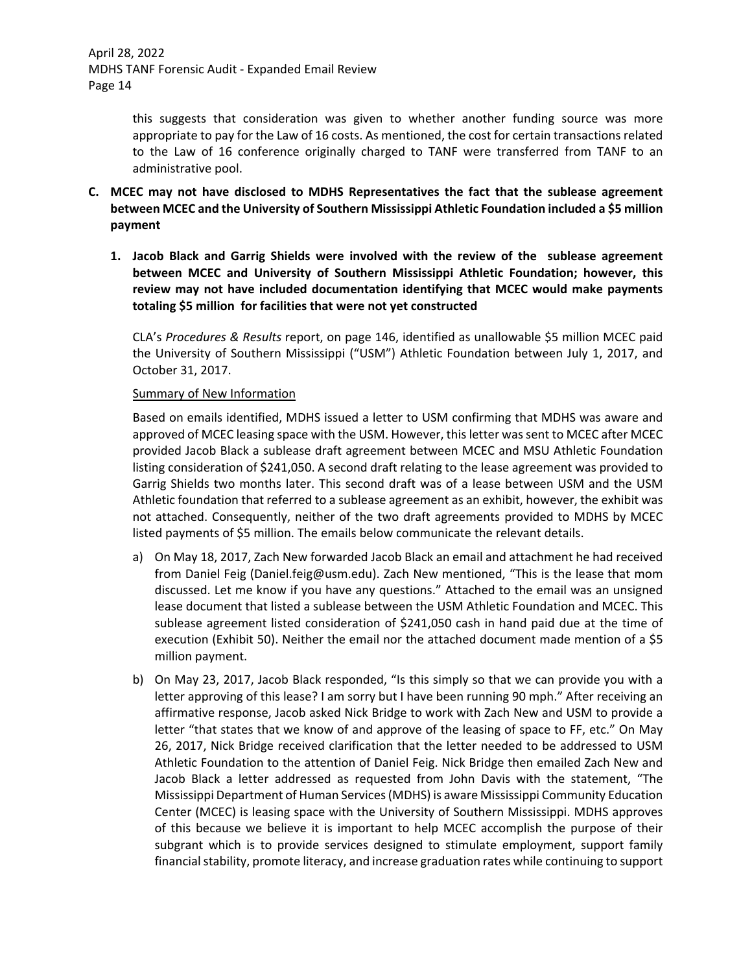> this suggests that consideration was given to whether another funding source was more appropriate to pay for the Law of 16 costs. As mentioned, the cost for certain transactions related to the Law of 16 conference originally charged to TANF were transferred from TANF to an administrative pool.

- **C. MCEC may not have disclosed to MDHS Representatives the fact that the sublease agreement between MCEC and the University of Southern Mississippi Athletic Foundation included a \$5 million payment**
	- **1. Jacob Black and Garrig Shields were involved with the review of the sublease agreement between MCEC and University of Southern Mississippi Athletic Foundation; however, this review may not have included documentation identifying that MCEC would make payments totaling \$5 million for facilities that were not yet constructed**

CLA's *Procedures & Results* report, on page 146, identified as unallowable \$5 million MCEC paid the University of Southern Mississippi ("USM") Athletic Foundation between July 1, 2017, and October 31, 2017.

### Summary of New Information

Based on emails identified, MDHS issued a letter to USM confirming that MDHS was aware and approved of MCEC leasing space with the USM. However, thisletter wassent to MCEC after MCEC provided Jacob Black a sublease draft agreement between MCEC and MSU Athletic Foundation listing consideration of \$241,050. A second draft relating to the lease agreement was provided to Garrig Shields two months later. This second draft was of a lease between USM and the USM Athletic foundation that referred to a sublease agreement as an exhibit, however, the exhibit was not attached. Consequently, neither of the two draft agreements provided to MDHS by MCEC listed payments of \$5 million. The emails below communicate the relevant details.

- a) On May 18, 2017, Zach New forwarded Jacob Black an email and attachment he had received from Daniel Feig (Daniel.feig@usm.edu). Zach New mentioned, "This is the lease that mom discussed. Let me know if you have any questions." Attached to the email was an unsigned lease document that listed a sublease between the USM Athletic Foundation and MCEC. This sublease agreement listed consideration of \$241,050 cash in hand paid due at the time of execution (Exhibit 50). Neither the email nor the attached document made mention of a \$5 million payment.
- b) On May 23, 2017, Jacob Black responded, "Is this simply so that we can provide you with a letter approving of this lease? I am sorry but I have been running 90 mph." After receiving an affirmative response, Jacob asked Nick Bridge to work with Zach New and USM to provide a letter "that states that we know of and approve of the leasing of space to FF, etc." On May 26, 2017, Nick Bridge received clarification that the letter needed to be addressed to USM Athletic Foundation to the attention of Daniel Feig. Nick Bridge then emailed Zach New and Jacob Black a letter addressed as requested from John Davis with the statement, "The Mississippi Department of Human Services(MDHS) is aware Mississippi Community Education Center (MCEC) is leasing space with the University of Southern Mississippi. MDHS approves of this because we believe it is important to help MCEC accomplish the purpose of their subgrant which is to provide services designed to stimulate employment, support family financial stability, promote literacy, and increase graduation rates while continuing to support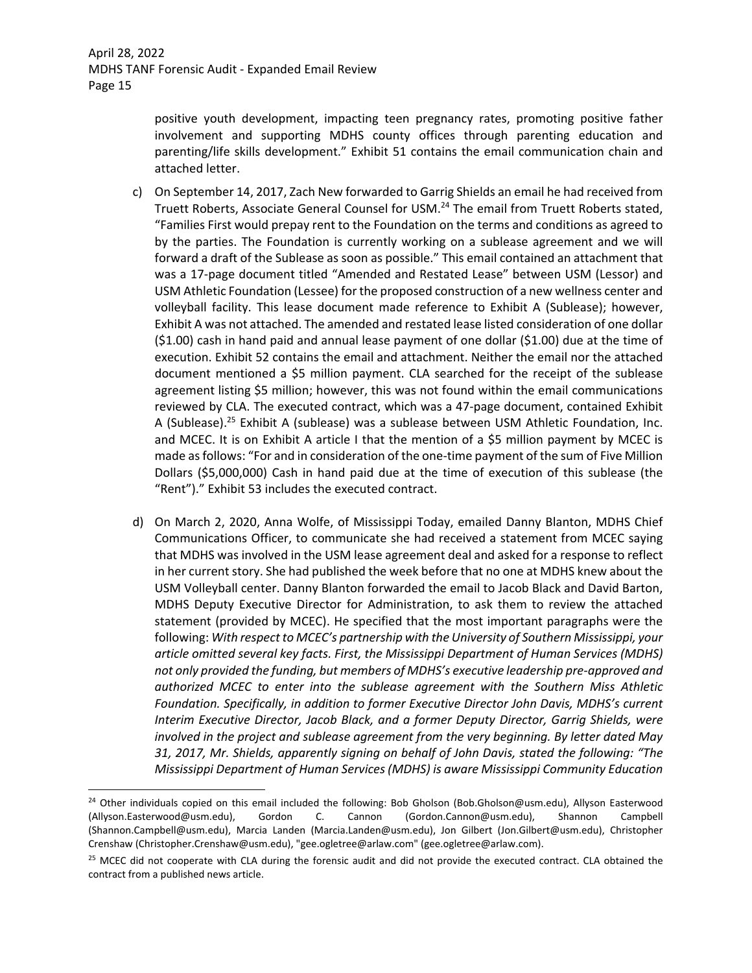positive youth development, impacting teen pregnancy rates, promoting positive father involvement and supporting MDHS county offices through parenting education and parenting/life skills development." Exhibit 51 contains the email communication chain and attached letter.

- c) On September 14, 2017, Zach New forwarded to Garrig Shields an email he had received from Truett Roberts, Associate General Counsel for USM.24 The email from Truett Roberts stated, "Families First would prepay rent to the Foundation on the terms and conditions as agreed to by the parties. The Foundation is currently working on a sublease agreement and we will forward a draft of the Sublease as soon as possible." This email contained an attachment that was a 17-page document titled "Amended and Restated Lease" between USM (Lessor) and USM Athletic Foundation (Lessee) for the proposed construction of a new wellness center and volleyball facility. This lease document made reference to Exhibit A (Sublease); however, Exhibit A was not attached. The amended and restated lease listed consideration of one dollar (\$1.00) cash in hand paid and annual lease payment of one dollar (\$1.00) due at the time of execution. Exhibit 52 contains the email and attachment. Neither the email nor the attached document mentioned a \$5 million payment. CLA searched for the receipt of the sublease agreement listing \$5 million; however, this was not found within the email communications reviewed by CLA. The executed contract, which was a 47‐page document, contained Exhibit A (Sublease).<sup>25</sup> Exhibit A (sublease) was a sublease between USM Athletic Foundation, Inc. and MCEC. It is on Exhibit A article I that the mention of a \$5 million payment by MCEC is made as follows: "For and in consideration of the one-time payment of the sum of Five Million Dollars (\$5,000,000) Cash in hand paid due at the time of execution of this sublease (the "Rent")." Exhibit 53 includes the executed contract.
- d) On March 2, 2020, Anna Wolfe, of Mississippi Today, emailed Danny Blanton, MDHS Chief Communications Officer, to communicate she had received a statement from MCEC saying that MDHS was involved in the USM lease agreement deal and asked for a response to reflect in her current story. She had published the week before that no one at MDHS knew about the USM Volleyball center. Danny Blanton forwarded the email to Jacob Black and David Barton, MDHS Deputy Executive Director for Administration, to ask them to review the attached statement (provided by MCEC). He specified that the most important paragraphs were the following: *With respect to MCEC's partnership with the University of Southern Mississippi, your article omitted several key facts. First, the Mississippi Department of Human Services (MDHS) not only provided the funding, but members of MDHS's executive leadership pre‐approved and authorized MCEC to enter into the sublease agreement with the Southern Miss Athletic Foundation. Specifically, in addition to former Executive Director John Davis, MDHS's current Interim Executive Director, Jacob Black, and a former Deputy Director, Garrig Shields, were involved in the project and sublease agreement from the very beginning. By letter dated May 31, 2017, Mr. Shields, apparently signing on behalf of John Davis, stated the following: "The Mississippi Department of Human Services (MDHS) is aware Mississippi Community Education*

<sup>&</sup>lt;sup>24</sup> Other individuals copied on this email included the following: Bob Gholson (Bob.Gholson@usm.edu), Allyson Easterwood (Allyson.Easterwood@usm.edu), Gordon C. Cannon (Gordon.Cannon@usm.edu), Shannon Campbell (Shannon.Campbell@usm.edu), Marcia Landen (Marcia.Landen@usm.edu), Jon Gilbert (Jon.Gilbert@usm.edu), Christopher Crenshaw (Christopher.Crenshaw@usm.edu), "gee.ogletree@arlaw.com" (gee.ogletree@arlaw.com).

 $25$  MCEC did not cooperate with CLA during the forensic audit and did not provide the executed contract. CLA obtained the contract from a published news article.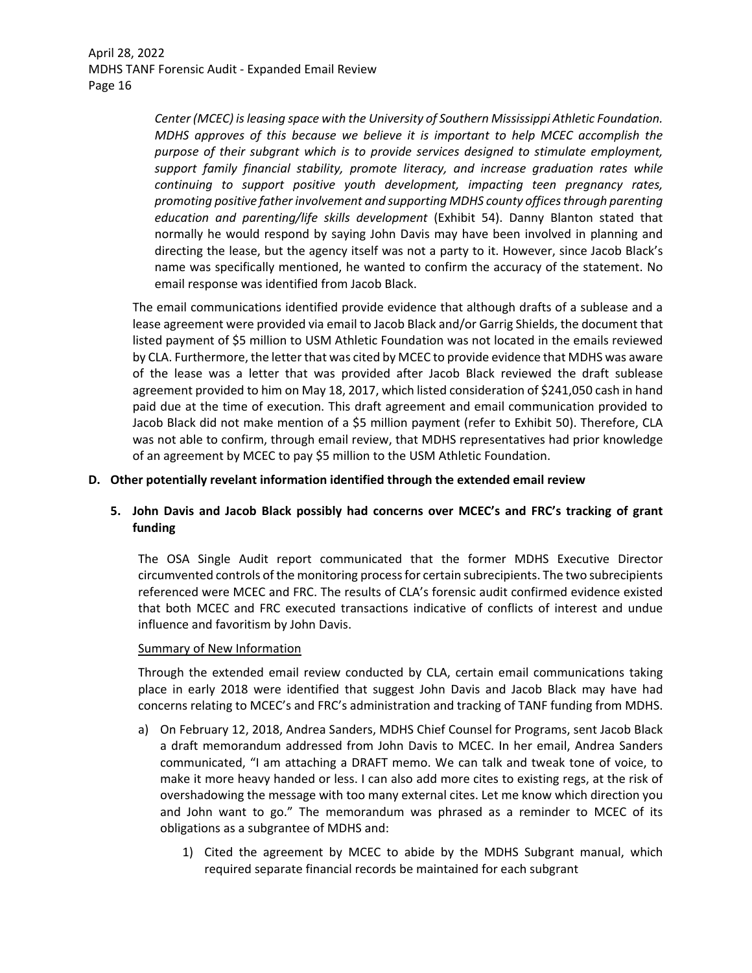> *Center (MCEC) isleasing space with the University of Southern Mississippi Athletic Foundation. MDHS approves of this because we believe it is important to help MCEC accomplish the purpose of their subgrant which is to provide services designed to stimulate employment, support family financial stability, promote literacy, and increase graduation rates while continuing to support positive youth development, impacting teen pregnancy rates, promoting positive father involvement and supporting MDHS county officesthrough parenting education and parenting/life skills development* (Exhibit 54). Danny Blanton stated that normally he would respond by saying John Davis may have been involved in planning and directing the lease, but the agency itself was not a party to it. However, since Jacob Black's name was specifically mentioned, he wanted to confirm the accuracy of the statement. No email response was identified from Jacob Black.

The email communications identified provide evidence that although drafts of a sublease and a lease agreement were provided via email to Jacob Black and/or Garrig Shields, the document that listed payment of \$5 million to USM Athletic Foundation was not located in the emails reviewed by CLA. Furthermore, the letter that was cited by MCEC to provide evidence that MDHS was aware of the lease was a letter that was provided after Jacob Black reviewed the draft sublease agreement provided to him on May 18, 2017, which listed consideration of \$241,050 cash in hand paid due at the time of execution. This draft agreement and email communication provided to Jacob Black did not make mention of a \$5 million payment (refer to Exhibit 50). Therefore, CLA was not able to confirm, through email review, that MDHS representatives had prior knowledge of an agreement by MCEC to pay \$5 million to the USM Athletic Foundation.

### **D. Other potentially revelant information identified through the extended email review**

## **5. John Davis and Jacob Black possibly had concerns over MCEC's and FRC's tracking of grant funding**

The OSA Single Audit report communicated that the former MDHS Executive Director circumvented controls of the monitoring processfor certain subrecipients. The two subrecipients referenced were MCEC and FRC. The results of CLA's forensic audit confirmed evidence existed that both MCEC and FRC executed transactions indicative of conflicts of interest and undue influence and favoritism by John Davis.

### Summary of New Information

Through the extended email review conducted by CLA, certain email communications taking place in early 2018 were identified that suggest John Davis and Jacob Black may have had concerns relating to MCEC's and FRC's administration and tracking of TANF funding from MDHS.

- a) On February 12, 2018, Andrea Sanders, MDHS Chief Counsel for Programs, sent Jacob Black a draft memorandum addressed from John Davis to MCEC. In her email, Andrea Sanders communicated, "I am attaching a DRAFT memo. We can talk and tweak tone of voice, to make it more heavy handed or less. I can also add more cites to existing regs, at the risk of overshadowing the message with too many external cites. Let me know which direction you and John want to go." The memorandum was phrased as a reminder to MCEC of its obligations as a subgrantee of MDHS and:
	- 1) Cited the agreement by MCEC to abide by the MDHS Subgrant manual, which required separate financial records be maintained for each subgrant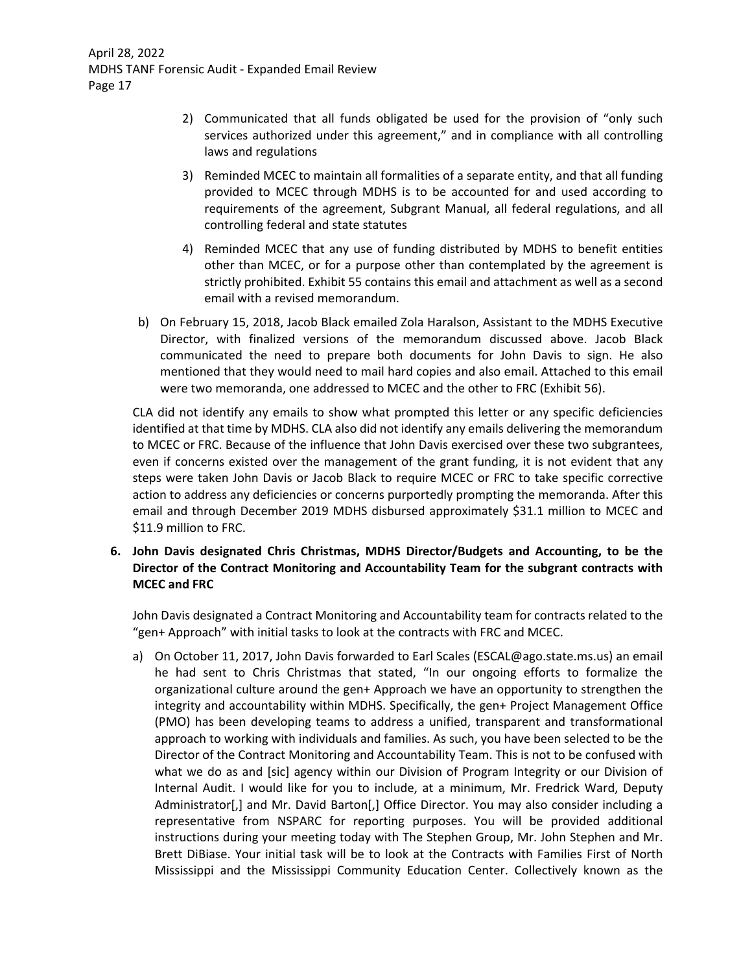- 2) Communicated that all funds obligated be used for the provision of "only such services authorized under this agreement," and in compliance with all controlling laws and regulations
- 3) Reminded MCEC to maintain all formalities of a separate entity, and that all funding provided to MCEC through MDHS is to be accounted for and used according to requirements of the agreement, Subgrant Manual, all federal regulations, and all controlling federal and state statutes
- 4) Reminded MCEC that any use of funding distributed by MDHS to benefit entities other than MCEC, or for a purpose other than contemplated by the agreement is strictly prohibited. Exhibit 55 contains this email and attachment as well as a second email with a revised memorandum.
- b) On February 15, 2018, Jacob Black emailed Zola Haralson, Assistant to the MDHS Executive Director, with finalized versions of the memorandum discussed above. Jacob Black communicated the need to prepare both documents for John Davis to sign. He also mentioned that they would need to mail hard copies and also email. Attached to this email were two memoranda, one addressed to MCEC and the other to FRC (Exhibit 56).

CLA did not identify any emails to show what prompted this letter or any specific deficiencies identified at that time by MDHS. CLA also did not identify any emails delivering the memorandum to MCEC or FRC. Because of the influence that John Davis exercised over these two subgrantees, even if concerns existed over the management of the grant funding, it is not evident that any steps were taken John Davis or Jacob Black to require MCEC or FRC to take specific corrective action to address any deficiencies or concerns purportedly prompting the memoranda. After this email and through December 2019 MDHS disbursed approximately \$31.1 million to MCEC and \$11.9 million to FRC.

**6. John Davis designated Chris Christmas, MDHS Director/Budgets and Accounting, to be the Director of the Contract Monitoring and Accountability Team for the subgrant contracts with MCEC and FRC** 

John Davis designated a Contract Monitoring and Accountability team for contracts related to the "gen+ Approach" with initial tasks to look at the contracts with FRC and MCEC.

a) On October 11, 2017, John Davis forwarded to Earl Scales (ESCAL@ago.state.ms.us) an email he had sent to Chris Christmas that stated, "In our ongoing efforts to formalize the organizational culture around the gen+ Approach we have an opportunity to strengthen the integrity and accountability within MDHS. Specifically, the gen+ Project Management Office (PMO) has been developing teams to address a unified, transparent and transformational approach to working with individuals and families. As such, you have been selected to be the Director of the Contract Monitoring and Accountability Team. This is not to be confused with what we do as and [sic] agency within our Division of Program Integrity or our Division of Internal Audit. I would like for you to include, at a minimum, Mr. Fredrick Ward, Deputy Administrator[,] and Mr. David Barton[,] Office Director. You may also consider including a representative from NSPARC for reporting purposes. You will be provided additional instructions during your meeting today with The Stephen Group, Mr. John Stephen and Mr. Brett DiBiase. Your initial task will be to look at the Contracts with Families First of North Mississippi and the Mississippi Community Education Center. Collectively known as the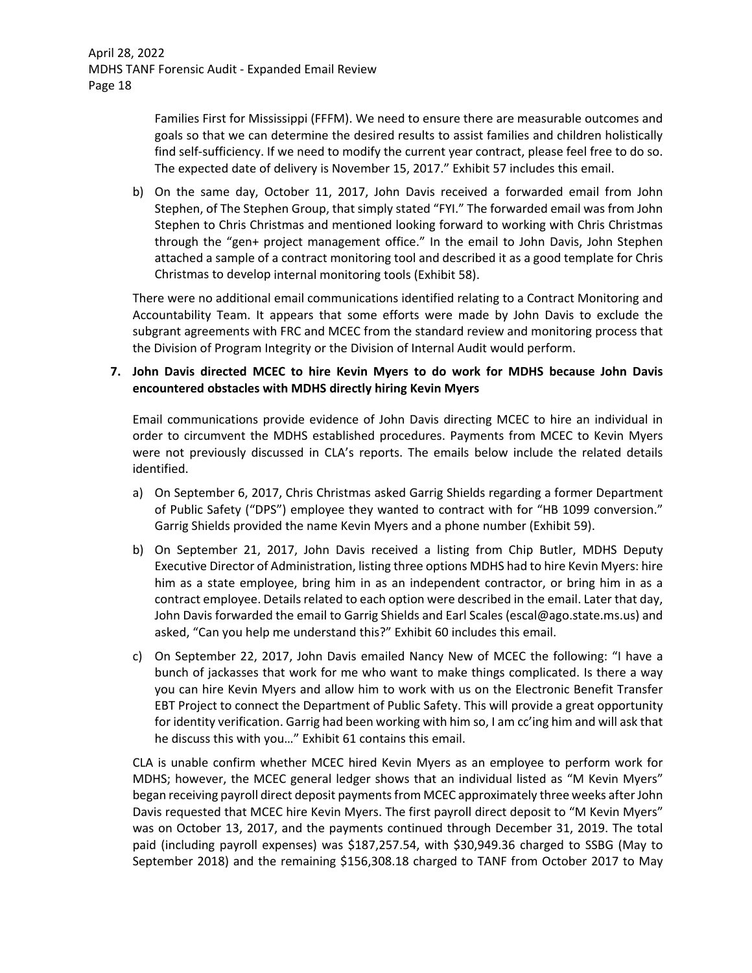Families First for Mississippi (FFFM). We need to ensure there are measurable outcomes and goals so that we can determine the desired results to assist families and children holistically find self-sufficiency. If we need to modify the current year contract, please feel free to do so. The expected date of delivery is November 15, 2017." Exhibit 57 includes this email.

b) On the same day, October 11, 2017, John Davis received a forwarded email from John Stephen, of The Stephen Group, that simply stated "FYI." The forwarded email was from John Stephen to Chris Christmas and mentioned looking forward to working with Chris Christmas through the "gen+ project management office." In the email to John Davis, John Stephen attached a sample of a contract monitoring tool and described it as a good template for Chris Christmas to develop internal monitoring tools (Exhibit 58).

There were no additional email communications identified relating to a Contract Monitoring and Accountability Team. It appears that some efforts were made by John Davis to exclude the subgrant agreements with FRC and MCEC from the standard review and monitoring process that the Division of Program Integrity or the Division of Internal Audit would perform.

## **7. John Davis directed MCEC to hire Kevin Myers to do work for MDHS because John Davis encountered obstacles with MDHS directly hiring Kevin Myers**

Email communications provide evidence of John Davis directing MCEC to hire an individual in order to circumvent the MDHS established procedures. Payments from MCEC to Kevin Myers were not previously discussed in CLA's reports. The emails below include the related details identified.

- a) On September 6, 2017, Chris Christmas asked Garrig Shields regarding a former Department of Public Safety ("DPS") employee they wanted to contract with for "HB 1099 conversion." Garrig Shields provided the name Kevin Myers and a phone number (Exhibit 59).
- b) On September 21, 2017, John Davis received a listing from Chip Butler, MDHS Deputy Executive Director of Administration, listing three options MDHS had to hire Kevin Myers: hire him as a state employee, bring him in as an independent contractor, or bring him in as a contract employee. Details related to each option were described in the email. Later that day, John Davis forwarded the email to Garrig Shields and Earl Scales (escal@ago.state.ms.us) and asked, "Can you help me understand this?" Exhibit 60 includes this email.
- c) On September 22, 2017, John Davis emailed Nancy New of MCEC the following: "I have a bunch of jackasses that work for me who want to make things complicated. Is there a way you can hire Kevin Myers and allow him to work with us on the Electronic Benefit Transfer EBT Project to connect the Department of Public Safety. This will provide a great opportunity for identity verification. Garrig had been working with him so, I am cc'ing him and will ask that he discuss this with you…" Exhibit 61 contains this email.

CLA is unable confirm whether MCEC hired Kevin Myers as an employee to perform work for MDHS; however, the MCEC general ledger shows that an individual listed as "M Kevin Myers" began receiving payroll direct deposit paymentsfrom MCEC approximately three weeks afterJohn Davis requested that MCEC hire Kevin Myers. The first payroll direct deposit to "M Kevin Myers" was on October 13, 2017, and the payments continued through December 31, 2019. The total paid (including payroll expenses) was \$187,257.54, with \$30,949.36 charged to SSBG (May to September 2018) and the remaining \$156,308.18 charged to TANF from October 2017 to May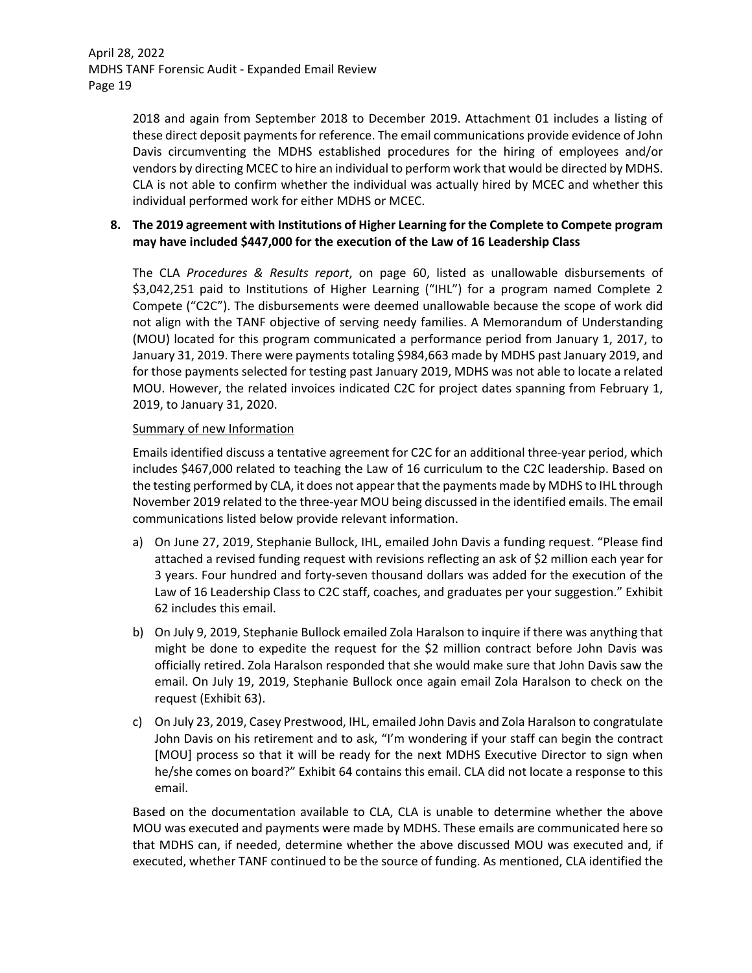2018 and again from September 2018 to December 2019. Attachment 01 includes a listing of these direct deposit payments for reference. The email communications provide evidence of John Davis circumventing the MDHS established procedures for the hiring of employees and/or vendors by directing MCEC to hire an individual to perform work that would be directed by MDHS. CLA is not able to confirm whether the individual was actually hired by MCEC and whether this individual performed work for either MDHS or MCEC.

## **8. The 2019 agreement with Institutions of Higher Learning for the Complete to Compete program may have included \$447,000 for the execution of the Law of 16 Leadership Class**

The CLA *Procedures & Results report*, on page 60, listed as unallowable disbursements of \$3,042,251 paid to Institutions of Higher Learning ("IHL") for a program named Complete 2 Compete ("C2C"). The disbursements were deemed unallowable because the scope of work did not align with the TANF objective of serving needy families. A Memorandum of Understanding (MOU) located for this program communicated a performance period from January 1, 2017, to January 31, 2019. There were payments totaling \$984,663 made by MDHS past January 2019, and for those payments selected for testing past January 2019, MDHS was not able to locate a related MOU. However, the related invoices indicated C2C for project dates spanning from February 1, 2019, to January 31, 2020.

### Summary of new Information

Emails identified discuss a tentative agreement for C2C for an additional three‐year period, which includes \$467,000 related to teaching the Law of 16 curriculum to the C2C leadership. Based on the testing performed by CLA, it does not appear that the payments made by MDHS to IHL through November 2019 related to the three‐year MOU being discussed in the identified emails. The email communications listed below provide relevant information.

- a) On June 27, 2019, Stephanie Bullock, IHL, emailed John Davis a funding request. "Please find attached a revised funding request with revisions reflecting an ask of \$2 million each year for 3 years. Four hundred and forty‐seven thousand dollars was added for the execution of the Law of 16 Leadership Class to C2C staff, coaches, and graduates per your suggestion." Exhibit 62 includes this email.
- b) On July 9, 2019, Stephanie Bullock emailed Zola Haralson to inquire if there was anything that might be done to expedite the request for the \$2 million contract before John Davis was officially retired. Zola Haralson responded that she would make sure that John Davis saw the email. On July 19, 2019, Stephanie Bullock once again email Zola Haralson to check on the request (Exhibit 63).
- c) On July 23, 2019, Casey Prestwood, IHL, emailed John Davis and Zola Haralson to congratulate John Davis on his retirement and to ask, "I'm wondering if your staff can begin the contract [MOU] process so that it will be ready for the next MDHS Executive Director to sign when he/she comes on board?" Exhibit 64 contains this email. CLA did not locate a response to this email.

Based on the documentation available to CLA, CLA is unable to determine whether the above MOU was executed and payments were made by MDHS. These emails are communicated here so that MDHS can, if needed, determine whether the above discussed MOU was executed and, if executed, whether TANF continued to be the source of funding. As mentioned, CLA identified the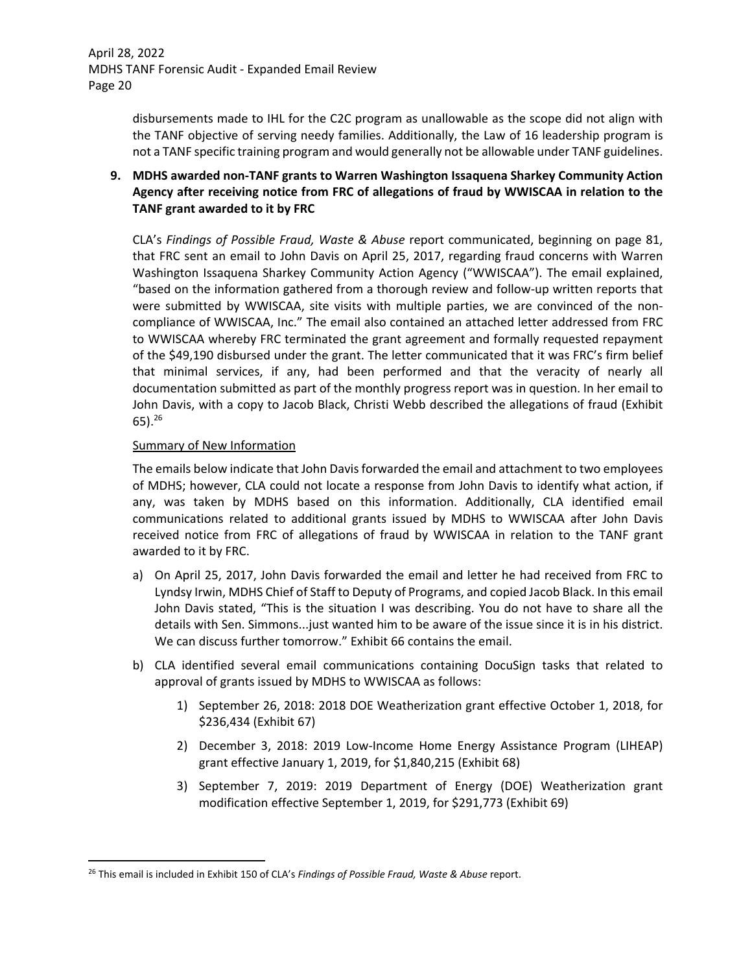disbursements made to IHL for the C2C program as unallowable as the scope did not align with the TANF objective of serving needy families. Additionally, the Law of 16 leadership program is not a TANF specific training program and would generally not be allowable under TANF guidelines.

## **9. MDHS awarded non‐TANF grants to Warren Washington Issaquena Sharkey Community Action Agency after receiving notice from FRC of allegations of fraud by WWISCAA in relation to the TANF grant awarded to it by FRC**

CLA's *Findings of Possible Fraud, Waste & Abuse* report communicated, beginning on page 81, that FRC sent an email to John Davis on April 25, 2017, regarding fraud concerns with Warren Washington Issaquena Sharkey Community Action Agency ("WWISCAA"). The email explained, "based on the information gathered from a thorough review and follow‐up written reports that were submitted by WWISCAA, site visits with multiple parties, we are convinced of the noncompliance of WWISCAA, Inc." The email also contained an attached letter addressed from FRC to WWISCAA whereby FRC terminated the grant agreement and formally requested repayment of the \$49,190 disbursed under the grant. The letter communicated that it was FRC's firm belief that minimal services, if any, had been performed and that the veracity of nearly all documentation submitted as part of the monthly progress report was in question. In her email to John Davis, with a copy to Jacob Black, Christi Webb described the allegations of fraud (Exhibit 65).26

### Summary of New Information

The emails below indicate that John Davis forwarded the email and attachment to two employees of MDHS; however, CLA could not locate a response from John Davis to identify what action, if any, was taken by MDHS based on this information. Additionally, CLA identified email communications related to additional grants issued by MDHS to WWISCAA after John Davis received notice from FRC of allegations of fraud by WWISCAA in relation to the TANF grant awarded to it by FRC.

- a) On April 25, 2017, John Davis forwarded the email and letter he had received from FRC to Lyndsy Irwin, MDHS Chief of Staff to Deputy of Programs, and copied Jacob Black. In this email John Davis stated, "This is the situation I was describing. You do not have to share all the details with Sen. Simmons...just wanted him to be aware of the issue since it is in his district. We can discuss further tomorrow." Exhibit 66 contains the email.
- b) CLA identified several email communications containing DocuSign tasks that related to approval of grants issued by MDHS to WWISCAA as follows:
	- 1) September 26, 2018: 2018 DOE Weatherization grant effective October 1, 2018, for \$236,434 (Exhibit 67)
	- 2) December 3, 2018: 2019 Low‐Income Home Energy Assistance Program (LIHEAP) grant effective January 1, 2019, for \$1,840,215 (Exhibit 68)
	- 3) September 7, 2019: 2019 Department of Energy (DOE) Weatherization grant modification effective September 1, 2019, for \$291,773 (Exhibit 69)

<sup>26</sup> This email is included in Exhibit 150 of CLA's *Findings of Possible Fraud, Waste & Abuse* report.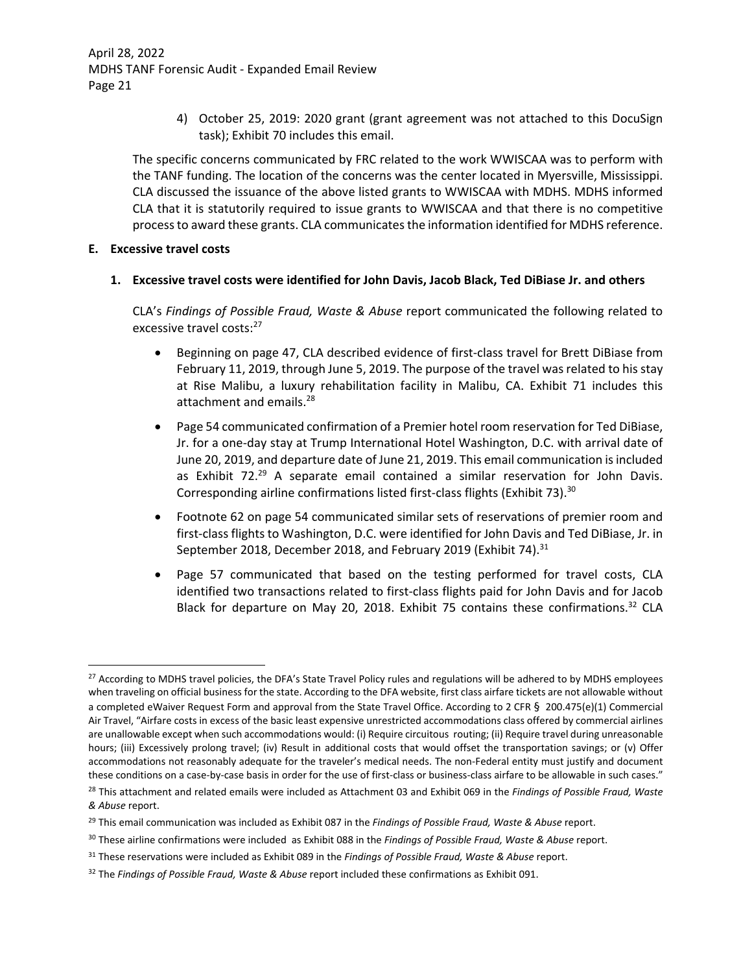4) October 25, 2019: 2020 grant (grant agreement was not attached to this DocuSign task); Exhibit 70 includes this email.

The specific concerns communicated by FRC related to the work WWISCAA was to perform with the TANF funding. The location of the concerns was the center located in Myersville, Mississippi. CLA discussed the issuance of the above listed grants to WWISCAA with MDHS. MDHS informed CLA that it is statutorily required to issue grants to WWISCAA and that there is no competitive processto award these grants. CLA communicatesthe information identified for MDHS reference.

### **E. Excessive travel costs**

## **1. Excessive travel costs were identified for John Davis, Jacob Black, Ted DiBiase Jr. and others**

CLA's *Findings of Possible Fraud, Waste & Abuse* report communicated the following related to excessive travel costs:<sup>27</sup>

- Beginning on page 47, CLA described evidence of first-class travel for Brett DiBiase from February 11, 2019, through June 5, 2019. The purpose of the travel was related to his stay at Rise Malibu, a luxury rehabilitation facility in Malibu, CA. Exhibit 71 includes this attachment and emails.<sup>28</sup>
- Page 54 communicated confirmation of a Premier hotel room reservation for Ted DiBiase, Jr. for a one‐day stay at Trump International Hotel Washington, D.C. with arrival date of June 20, 2019, and departure date of June 21, 2019. This email communication isincluded as Exhibit  $72.^{29}$  A separate email contained a similar reservation for John Davis. Corresponding airline confirmations listed first-class flights (Exhibit 73).<sup>30</sup>
- Footnote 62 on page 54 communicated similar sets of reservations of premier room and first-class flights to Washington, D.C. were identified for John Davis and Ted DiBiase, Jr. in September 2018, December 2018, and February 2019 (Exhibit 74).<sup>31</sup>
- Page 57 communicated that based on the testing performed for travel costs, CLA identified two transactions related to first‐class flights paid for John Davis and for Jacob Black for departure on May 20, 2018. Exhibit 75 contains these confirmations.<sup>32</sup> CLA

<sup>&</sup>lt;sup>27</sup> According to MDHS travel policies, the DFA's State Travel Policy rules and regulations will be adhered to by MDHS employees when traveling on official business for the state. According to the DFA website, first class airfare tickets are not allowable without a completed eWaiver Request Form and approval from the State Travel Office. According to 2 CFR § 200.475(e)(1) Commercial Air Travel, "Airfare costs in excess of the basic least expensive unrestricted accommodations class offered by commercial airlines are unallowable except when such accommodations would: (i) Require circuitous routing; (ii) Require travel during unreasonable hours; (iii) Excessively prolong travel; (iv) Result in additional costs that would offset the transportation savings; or (v) Offer accommodations not reasonably adequate for the traveler's medical needs. The non‐Federal entity must justify and document these conditions on a case-by-case basis in order for the use of first-class or business-class airfare to be allowable in such cases."

<sup>28</sup> This attachment and related emails were included as Attachment 03 and Exhibit 069 in the *Findings of Possible Fraud, Waste & Abuse* report.

<sup>29</sup> This email communication was included as Exhibit 087 in the *Findings of Possible Fraud, Waste & Abuse* report.

<sup>30</sup> These airline confirmations were included as Exhibit 088 in the *Findings of Possible Fraud, Waste & Abuse* report.

<sup>31</sup> These reservations were included as Exhibit 089 in the *Findings of Possible Fraud, Waste & Abuse* report.

<sup>32</sup> The *Findings of Possible Fraud, Waste & Abuse* report included these confirmations as Exhibit 091.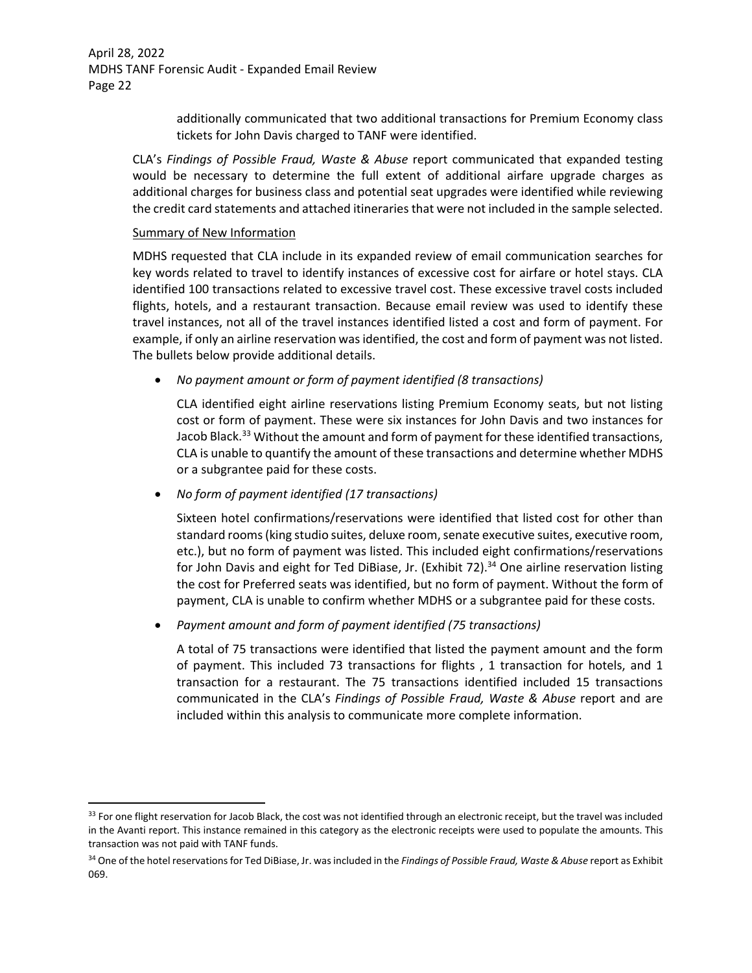> additionally communicated that two additional transactions for Premium Economy class tickets for John Davis charged to TANF were identified.

CLA's *Findings of Possible Fraud, Waste & Abuse* report communicated that expanded testing would be necessary to determine the full extent of additional airfare upgrade charges as additional charges for business class and potential seat upgrades were identified while reviewing the credit card statements and attached itineraries that were not included in the sample selected.

### Summary of New Information

MDHS requested that CLA include in its expanded review of email communication searches for key words related to travel to identify instances of excessive cost for airfare or hotel stays. CLA identified 100 transactions related to excessive travel cost. These excessive travel costs included flights, hotels, and a restaurant transaction. Because email review was used to identify these travel instances, not all of the travel instances identified listed a cost and form of payment. For example, if only an airline reservation was identified, the cost and form of payment was not listed. The bullets below provide additional details.

*No payment amount or form of payment identified (8 transactions)*

CLA identified eight airline reservations listing Premium Economy seats, but not listing cost or form of payment. These were six instances for John Davis and two instances for Jacob Black.<sup>33</sup> Without the amount and form of payment for these identified transactions, CLA is unable to quantify the amount of these transactions and determine whether MDHS or a subgrantee paid for these costs.

*No form of payment identified (17 transactions)*

Sixteen hotel confirmations/reservations were identified that listed cost for other than standard rooms(king studio suites, deluxe room,senate executive suites, executive room, etc.), but no form of payment was listed. This included eight confirmations/reservations for John Davis and eight for Ted DiBiase, Jr. (Exhibit 72).<sup>34</sup> One airline reservation listing the cost for Preferred seats was identified, but no form of payment. Without the form of payment, CLA is unable to confirm whether MDHS or a subgrantee paid for these costs.

*Payment amount and form of payment identified (75 transactions)*

A total of 75 transactions were identified that listed the payment amount and the form of payment. This included 73 transactions for flights , 1 transaction for hotels, and 1 transaction for a restaurant. The 75 transactions identified included 15 transactions communicated in the CLA's *Findings of Possible Fraud, Waste & Abuse* report and are included within this analysis to communicate more complete information.

<sup>33</sup> For one flight reservation for Jacob Black, the cost was not identified through an electronic receipt, but the travel was included in the Avanti report. This instance remained in this category as the electronic receipts were used to populate the amounts. This transaction was not paid with TANF funds.

<sup>34</sup> One of the hotel reservationsfor Ted DiBiase, Jr. wasincluded in the *Findings of Possible Fraud, Waste & Abuse* report as Exhibit 069.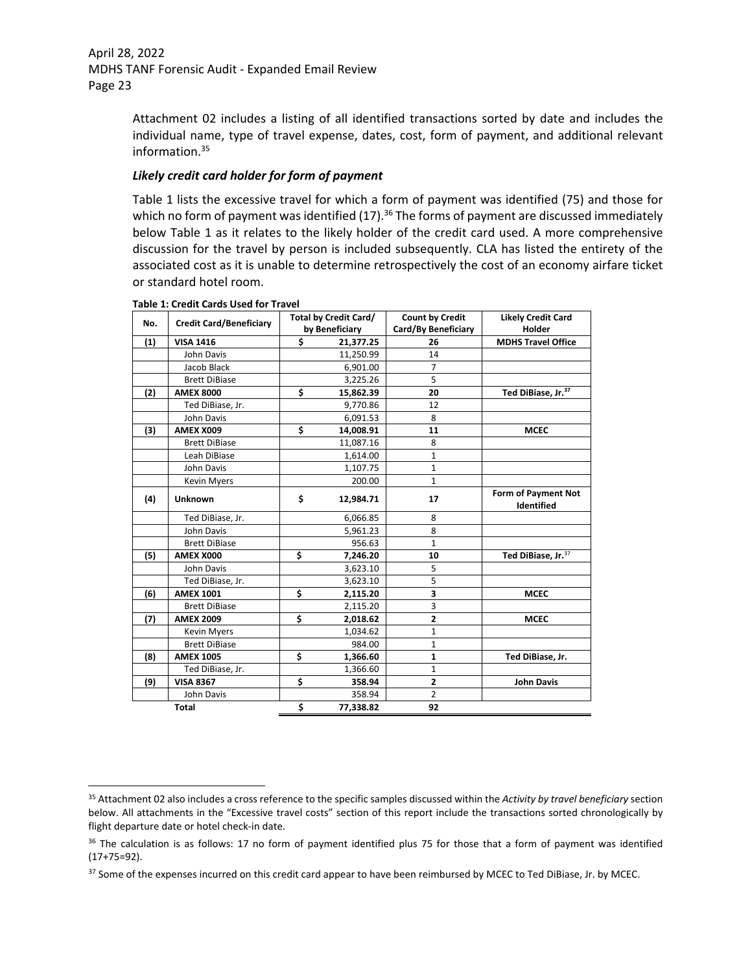Attachment 02 includes a listing of all identified transactions sorted by date and includes the individual name, type of travel expense, dates, cost, form of payment, and additional relevant information.35

## *Likely credit card holder for form of payment*

Table 1 lists the excessive travel for which a form of payment was identified (75) and those for which no form of payment was identified  $(17).$ <sup>36</sup> The forms of payment are discussed immediately below Table 1 as it relates to the likely holder of the credit card used. A more comprehensive discussion for the travel by person is included subsequently. CLA has listed the entirety of the associated cost as it is unable to determine retrospectively the cost of an economy airfare ticket or standard hotel room.

| No. | <b>Credit Card/Beneficiary</b> | <b>Total by Credit Card/</b> | <b>Count by Credit</b> | <b>Likely Credit Card</b>         |
|-----|--------------------------------|------------------------------|------------------------|-----------------------------------|
|     |                                | by Beneficiary               | Card/By Beneficiary    | Holder                            |
| (1) | <b>VISA 1416</b>               | \$<br>21,377.25              | 26                     | <b>MDHS Travel Office</b>         |
|     | John Davis                     | 11,250.99                    | 14                     |                                   |
|     | Jacob Black                    | 6,901.00                     | $\overline{7}$         |                                   |
|     | <b>Brett DiBiase</b>           | 3,225.26                     | 5                      |                                   |
| (2) | <b>AMEX 8000</b>               | \$<br>15,862.39              | 20                     | Ted DiBiase, Jr. <sup>37</sup>    |
|     | Ted DiBiase, Jr.               | 9,770.86                     | 12                     |                                   |
|     | John Davis                     | 6,091.53                     | 8                      |                                   |
| (3) | AMEX X009                      | \$<br>14,008.91              | 11                     | <b>MCEC</b>                       |
|     | <b>Brett DiBiase</b>           | 11,087.16                    | 8                      |                                   |
|     | Leah DiBiase                   | 1,614.00                     | 1                      |                                   |
|     | John Davis                     | 1,107.75                     | $\mathbf{1}$           |                                   |
|     | Kevin Myers                    | 200.00                       | $\mathbf{1}$           |                                   |
| (4) | <b>Unknown</b>                 | \$<br>12,984.71              | 17                     | Form of Payment Not<br>Identified |
|     | Ted DiBiase, Jr.               | 6,066.85                     | 8                      |                                   |
|     | John Davis                     | 5,961.23                     | 8                      |                                   |
|     | <b>Brett DiBiase</b>           | 956.63                       | $\mathbf{1}$           |                                   |
| (5) | AMEX X000                      | \$<br>7,246.20               | 10                     | Ted DiBiase, Jr. <sup>37</sup>    |
|     | John Davis                     | 3,623.10                     | 5                      |                                   |
|     | Ted DiBiase, Jr.               | 3,623.10                     | $\overline{5}$         |                                   |
| (6) | <b>AMEX 1001</b>               | \$<br>2,115.20               | 3                      | <b>MCEC</b>                       |
|     | <b>Brett DiBiase</b>           | 2,115.20                     | 3                      |                                   |
| (7) | <b>AMEX 2009</b>               | \$<br>2,018.62               | $\overline{2}$         | <b>MCEC</b>                       |
|     | Kevin Myers                    | 1,034.62                     | $\mathbf{1}$           |                                   |
|     | <b>Brett DiBiase</b>           | 984.00                       | 1                      |                                   |
| (8) | <b>AMEX 1005</b>               | \$<br>1,366.60               | $\mathbf{1}$           | Ted DiBiase, Jr.                  |
|     | Ted DiBiase, Jr.               | 1,366.60                     | 1                      |                                   |
| (9) | <b>VISA 8367</b>               | \$<br>358.94                 | $\overline{2}$         | <b>John Davis</b>                 |
|     | John Davis                     | 358.94                       | $\overline{2}$         |                                   |
|     | <b>Total</b>                   | \$<br>77,338.82              | 92                     |                                   |

#### **Table 1: Credit Cards Used for Travel**

<sup>35</sup> Attachment 02 also includes a cross reference to the specific samples discussed within the *Activity by travel beneficiary* section below. All attachments in the "Excessive travel costs" section of this report include the transactions sorted chronologically by flight departure date or hotel check‐in date.

<sup>&</sup>lt;sup>36</sup> The calculation is as follows: 17 no form of payment identified plus 75 for those that a form of payment was identified (17+75=92).

<sup>&</sup>lt;sup>37</sup> Some of the expenses incurred on this credit card appear to have been reimbursed by MCEC to Ted DiBiase, Jr. by MCEC.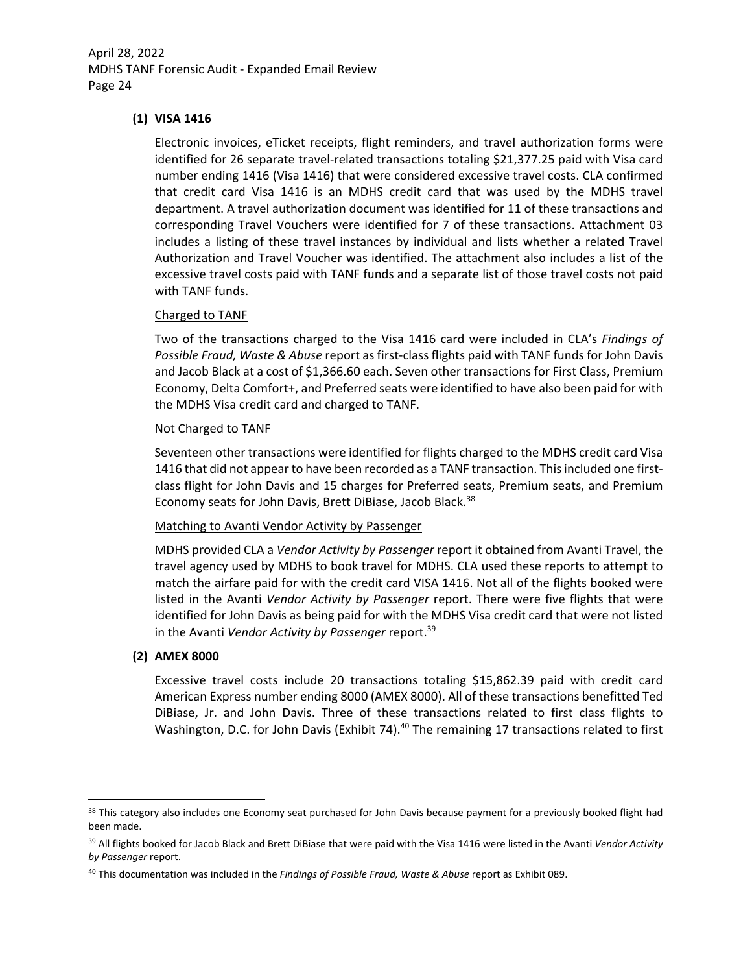## **(1) VISA 1416**

Electronic invoices, eTicket receipts, flight reminders, and travel authorization forms were identified for 26 separate travel‐related transactions totaling \$21,377.25 paid with Visa card number ending 1416 (Visa 1416) that were considered excessive travel costs. CLA confirmed that credit card Visa 1416 is an MDHS credit card that was used by the MDHS travel department. A travel authorization document was identified for 11 of these transactions and corresponding Travel Vouchers were identified for 7 of these transactions. Attachment 03 includes a listing of these travel instances by individual and lists whether a related Travel Authorization and Travel Voucher was identified. The attachment also includes a list of the excessive travel costs paid with TANF funds and a separate list of those travel costs not paid with TANF funds.

### Charged to TANF

Two of the transactions charged to the Visa 1416 card were included in CLA's *Findings of Possible Fraud, Waste & Abuse* report as first‐class flights paid with TANF funds for John Davis and Jacob Black at a cost of \$1,366.60 each. Seven other transactions for First Class, Premium Economy, Delta Comfort+, and Preferred seats were identified to have also been paid for with the MDHS Visa credit card and charged to TANF.

### Not Charged to TANF

Seventeen other transactions were identified for flights charged to the MDHS credit card Visa 1416 that did not appear to have been recorded as a TANF transaction. Thisincluded one first‐ class flight for John Davis and 15 charges for Preferred seats, Premium seats, and Premium Economy seats for John Davis, Brett DiBiase, Jacob Black.<sup>38</sup>

### Matching to Avanti Vendor Activity by Passenger

MDHS provided CLA a *Vendor Activity by Passenger* report it obtained from Avanti Travel, the travel agency used by MDHS to book travel for MDHS. CLA used these reports to attempt to match the airfare paid for with the credit card VISA 1416. Not all of the flights booked were listed in the Avanti *Vendor Activity by Passenger* report. There were five flights that were identified for John Davis as being paid for with the MDHS Visa credit card that were not listed in the Avanti *Vendor Activity by Passenger* report.39

### **(2) AMEX 8000**

Excessive travel costs include 20 transactions totaling \$15,862.39 paid with credit card American Express number ending 8000 (AMEX 8000). All of these transactions benefitted Ted DiBiase, Jr. and John Davis. Three of these transactions related to first class flights to Washington, D.C. for John Davis (Exhibit 74).<sup>40</sup> The remaining 17 transactions related to first

<sup>38</sup> This category also includes one Economy seat purchased for John Davis because payment for a previously booked flight had been made.

<sup>39</sup> All flights booked for Jacob Black and Brett DiBiase that were paid with the Visa 1416 were listed in the Avanti *Vendor Activity by Passenger* report.

<sup>40</sup> This documentation was included in the *Findings of Possible Fraud, Waste & Abuse* report as Exhibit 089.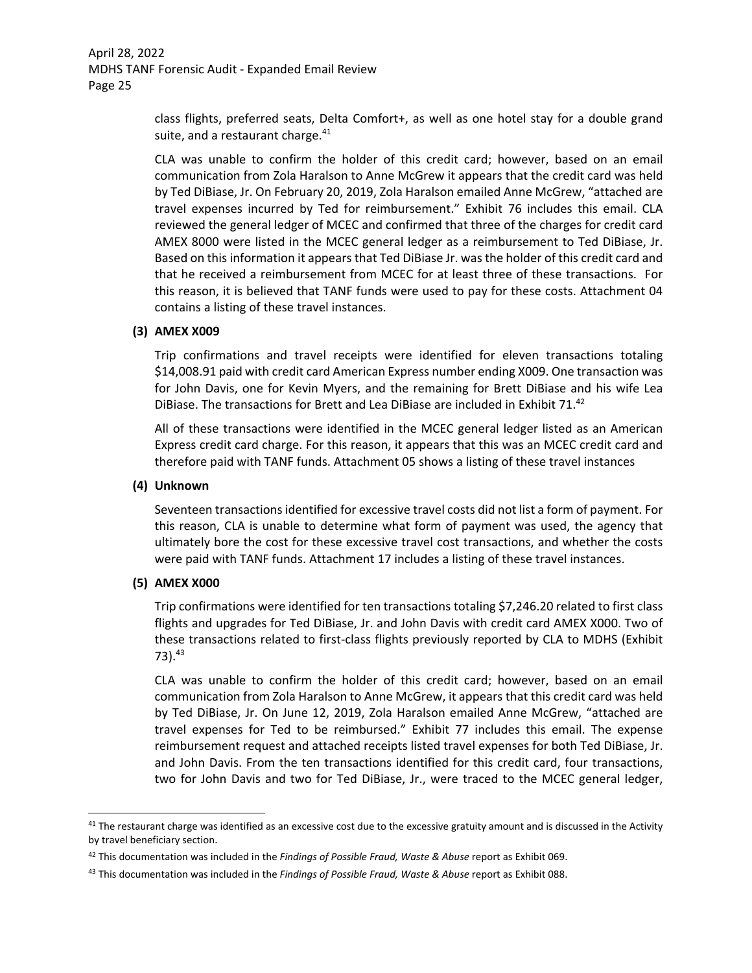> class flights, preferred seats, Delta Comfort+, as well as one hotel stay for a double grand suite, and a restaurant charge.<sup>41</sup>

> CLA was unable to confirm the holder of this credit card; however, based on an email communication from Zola Haralson to Anne McGrew it appears that the credit card was held by Ted DiBiase, Jr. On February 20, 2019, Zola Haralson emailed Anne McGrew, "attached are travel expenses incurred by Ted for reimbursement." Exhibit 76 includes this email. CLA reviewed the general ledger of MCEC and confirmed that three of the charges for credit card AMEX 8000 were listed in the MCEC general ledger as a reimbursement to Ted DiBiase, Jr. Based on this information it appears that Ted DiBiase Jr. was the holder of this credit card and that he received a reimbursement from MCEC for at least three of these transactions. For this reason, it is believed that TANF funds were used to pay for these costs. Attachment 04 contains a listing of these travel instances.

### **(3) AMEX X009**

Trip confirmations and travel receipts were identified for eleven transactions totaling \$14,008.91 paid with credit card American Express number ending X009. One transaction was for John Davis, one for Kevin Myers, and the remaining for Brett DiBiase and his wife Lea DiBiase. The transactions for Brett and Lea DiBiase are included in Exhibit 71.<sup>42</sup>

All of these transactions were identified in the MCEC general ledger listed as an American Express credit card charge. For this reason, it appears that this was an MCEC credit card and therefore paid with TANF funds. Attachment 05 shows a listing of these travel instances

### **(4) Unknown**

Seventeen transactions identified for excessive travel costs did not list a form of payment. For this reason, CLA is unable to determine what form of payment was used, the agency that ultimately bore the cost for these excessive travel cost transactions, and whether the costs were paid with TANF funds. Attachment 17 includes a listing of these travel instances.

### **(5) AMEX X000**

Trip confirmations were identified for ten transactions totaling \$7,246.20 related to first class flights and upgrades for Ted DiBiase, Jr. and John Davis with credit card AMEX X000. Two of these transactions related to first‐class flights previously reported by CLA to MDHS (Exhibit  $73)$ .  $43$ 

CLA was unable to confirm the holder of this credit card; however, based on an email communication from Zola Haralson to Anne McGrew, it appears that this credit card was held by Ted DiBiase, Jr. On June 12, 2019, Zola Haralson emailed Anne McGrew, "attached are travel expenses for Ted to be reimbursed." Exhibit 77 includes this email. The expense reimbursement request and attached receipts listed travel expenses for both Ted DiBiase, Jr. and John Davis. From the ten transactions identified for this credit card, four transactions, two for John Davis and two for Ted DiBiase, Jr., were traced to the MCEC general ledger,

 $41$  The restaurant charge was identified as an excessive cost due to the excessive gratuity amount and is discussed in the Activity by travel beneficiary section.

<sup>42</sup> This documentation was included in the *Findings of Possible Fraud, Waste & Abuse* report as Exhibit 069.

<sup>43</sup> This documentation was included in the *Findings of Possible Fraud, Waste & Abuse* report as Exhibit 088.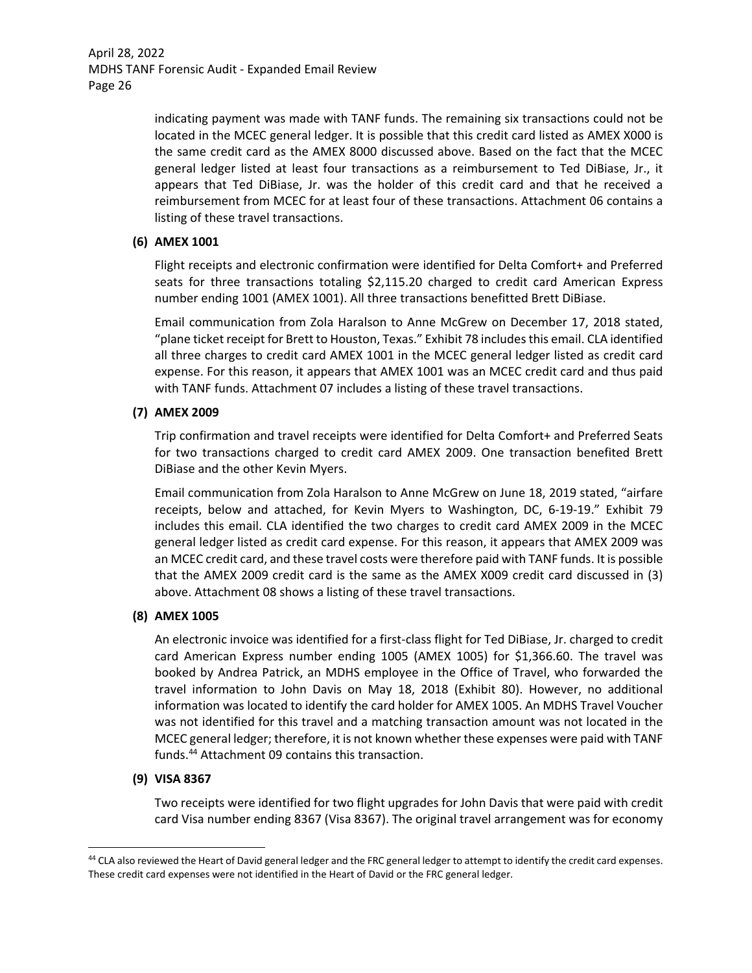> indicating payment was made with TANF funds. The remaining six transactions could not be located in the MCEC general ledger. It is possible that this credit card listed as AMEX X000 is the same credit card as the AMEX 8000 discussed above. Based on the fact that the MCEC general ledger listed at least four transactions as a reimbursement to Ted DiBiase, Jr., it appears that Ted DiBiase, Jr. was the holder of this credit card and that he received a reimbursement from MCEC for at least four of these transactions. Attachment 06 contains a listing of these travel transactions.

## **(6) AMEX 1001**

Flight receipts and electronic confirmation were identified for Delta Comfort+ and Preferred seats for three transactions totaling \$2,115.20 charged to credit card American Express number ending 1001 (AMEX 1001). All three transactions benefitted Brett DiBiase.

Email communication from Zola Haralson to Anne McGrew on December 17, 2018 stated, "plane ticket receipt for Brett to Houston, Texas." Exhibit 78 includesthis email. CLA identified all three charges to credit card AMEX 1001 in the MCEC general ledger listed as credit card expense. For this reason, it appears that AMEX 1001 was an MCEC credit card and thus paid with TANF funds. Attachment 07 includes a listing of these travel transactions.

## **(7) AMEX 2009**

Trip confirmation and travel receipts were identified for Delta Comfort+ and Preferred Seats for two transactions charged to credit card AMEX 2009. One transaction benefited Brett DiBiase and the other Kevin Myers.

Email communication from Zola Haralson to Anne McGrew on June 18, 2019 stated, "airfare receipts, below and attached, for Kevin Myers to Washington, DC, 6‐19‐19." Exhibit 79 includes this email. CLA identified the two charges to credit card AMEX 2009 in the MCEC general ledger listed as credit card expense. For this reason, it appears that AMEX 2009 was an MCEC credit card, and these travel costs were therefore paid with TANF funds. It is possible that the AMEX 2009 credit card is the same as the AMEX X009 credit card discussed in (3) above. Attachment 08 shows a listing of these travel transactions.

## **(8) AMEX 1005**

An electronic invoice was identified for a first-class flight for Ted DiBiase, Jr. charged to credit card American Express number ending 1005 (AMEX 1005) for \$1,366.60. The travel was booked by Andrea Patrick, an MDHS employee in the Office of Travel, who forwarded the travel information to John Davis on May 18, 2018 (Exhibit 80). However, no additional information was located to identify the card holder for AMEX 1005. An MDHS Travel Voucher was not identified for this travel and a matching transaction amount was not located in the MCEC general ledger; therefore, it is not known whether these expenses were paid with TANF funds.44 Attachment 09 contains this transaction.

## **(9) VISA 8367**

Two receipts were identified for two flight upgrades for John Davis that were paid with credit card Visa number ending 8367 (Visa 8367). The original travel arrangement was for economy

<sup>44</sup> CLA also reviewed the Heart of David general ledger and the FRC general ledger to attempt to identify the credit card expenses. These credit card expenses were not identified in the Heart of David or the FRC general ledger.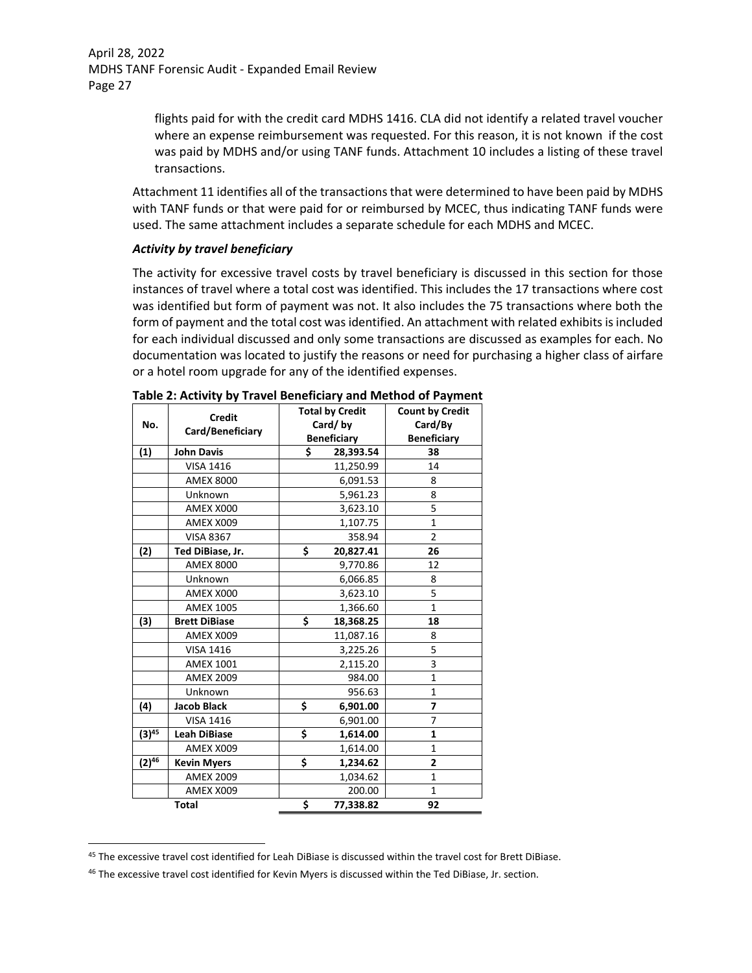> flights paid for with the credit card MDHS 1416. CLA did not identify a related travel voucher where an expense reimbursement was requested. For this reason, it is not known if the cost was paid by MDHS and/or using TANF funds. Attachment 10 includes a listing of these travel transactions.

Attachment 11 identifies all of the transactions that were determined to have been paid by MDHS with TANF funds or that were paid for or reimbursed by MCEC, thus indicating TANF funds were used. The same attachment includes a separate schedule for each MDHS and MCEC.

### *Activity by travel beneficiary*

The activity for excessive travel costs by travel beneficiary is discussed in this section for those instances of travel where a total cost was identified. This includes the 17 transactions where cost was identified but form of payment was not. It also includes the 75 transactions where both the form of payment and the total cost was identified. An attachment with related exhibits is included for each individual discussed and only some transactions are discussed as examples for each. No documentation was located to justify the reasons or need for purchasing a higher class of airfare or a hotel room upgrade for any of the identified expenses.

| No.        | <b>Credit</b><br>Card/Beneficiary | <b>Total by Credit</b><br>Card/by |                    | <b>Count by Credit</b><br>Card/By |
|------------|-----------------------------------|-----------------------------------|--------------------|-----------------------------------|
|            |                                   |                                   | <b>Beneficiary</b> | <b>Beneficiary</b>                |
| (1)        | <b>John Davis</b>                 | \$                                | 28,393.54          | 38                                |
|            | <b>VISA 1416</b>                  |                                   | 11,250.99          | 14                                |
|            | <b>AMEX 8000</b>                  |                                   | 6,091.53           | 8                                 |
|            | Unknown                           |                                   | 5,961.23           | 8                                 |
|            | AMEX X000                         |                                   | 3,623.10           | 5                                 |
|            | AMEX X009                         |                                   | 1,107.75           | $\mathbf 1$                       |
|            | <b>VISA 8367</b>                  |                                   | 358.94             | $\overline{2}$                    |
| (2)        | Ted DiBiase, Jr.                  | \$                                | 20,827.41          | 26                                |
|            | <b>AMEX 8000</b>                  |                                   | 9,770.86           | 12                                |
|            | Unknown                           |                                   | 6,066.85           | 8                                 |
|            | AMEX X000                         |                                   | 3,623.10           | 5                                 |
|            | <b>AMEX 1005</b>                  |                                   | 1,366.60           | $\mathbf{1}$                      |
| (3)        | <b>Brett DiBiase</b>              | \$                                | 18,368.25          | 18                                |
|            | AMEX X009                         |                                   | 11,087.16          | 8                                 |
|            | <b>VISA 1416</b>                  |                                   | 3,225.26           | 5                                 |
|            | <b>AMEX 1001</b>                  |                                   | 2,115.20           | 3                                 |
|            | <b>AMEX 2009</b>                  |                                   | 984.00             | $\mathbf{1}$                      |
|            | Unknown                           |                                   | 956.63             | $\mathbf{1}$                      |
| (4)        | <b>Jacob Black</b>                | \$                                | 6,901.00           | $\overline{ }$                    |
|            | <b>VISA 1416</b>                  |                                   | 6,901.00           | 7                                 |
| $(3)^{45}$ | <b>Leah DiBiase</b>               | \$                                | 1,614.00           | 1                                 |
|            | AMEX X009                         |                                   | 1,614.00           | $\mathbf{1}$                      |
| $(2)^{46}$ | <b>Kevin Myers</b>                | \$                                | 1,234.62           | $\overline{2}$                    |
|            | <b>AMEX 2009</b>                  |                                   | 1,034.62           | $\mathbf{1}$                      |
|            | AMEX X009                         |                                   | 200.00             | 1                                 |
|            | <b>Total</b>                      | \$                                | 77,338.82          | 92                                |

<sup>&</sup>lt;sup>45</sup> The excessive travel cost identified for Leah DiBiase is discussed within the travel cost for Brett DiBiase.

<sup>46</sup> The excessive travel cost identified for Kevin Myers is discussed within the Ted DiBiase, Jr. section.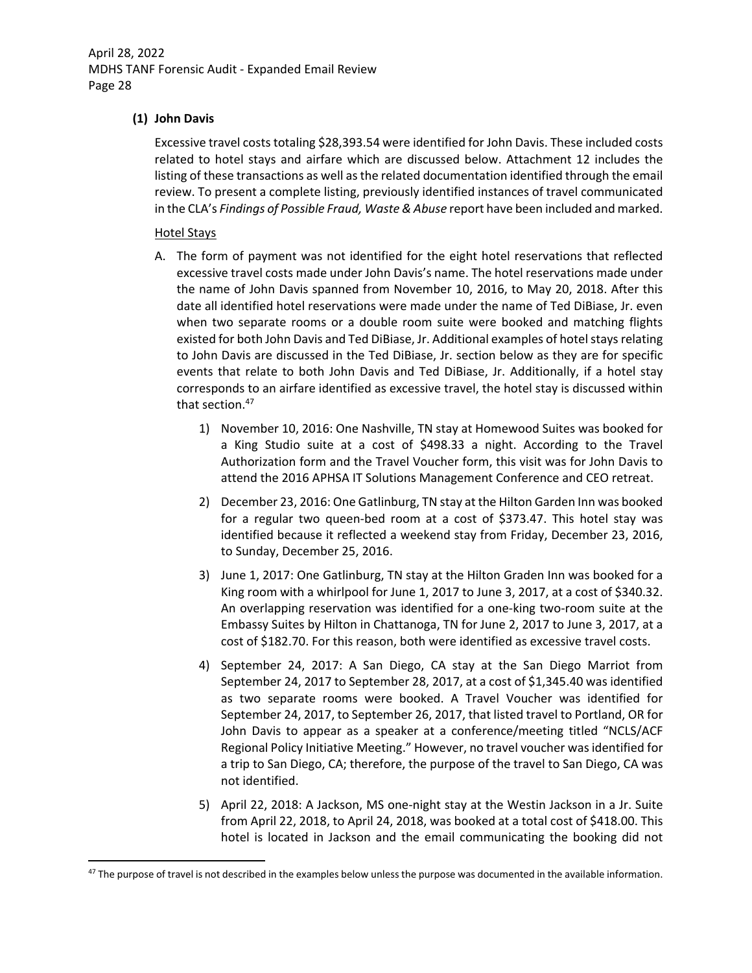## **(1) John Davis**

Excessive travel costs totaling \$28,393.54 were identified for John Davis. These included costs related to hotel stays and airfare which are discussed below. Attachment 12 includes the listing of these transactions as well as the related documentation identified through the email review. To present a complete listing, previously identified instances of travel communicated in the CLA's *Findings of Possible Fraud, Waste & Abuse* report have been included and marked.

## Hotel Stays

- A. The form of payment was not identified for the eight hotel reservations that reflected excessive travel costs made under John Davis's name. The hotel reservations made under the name of John Davis spanned from November 10, 2016, to May 20, 2018. After this date all identified hotel reservations were made under the name of Ted DiBiase, Jr. even when two separate rooms or a double room suite were booked and matching flights existed for both John Davis and Ted DiBiase, Jr. Additional examples of hotel stays relating to John Davis are discussed in the Ted DiBiase, Jr. section below as they are for specific events that relate to both John Davis and Ted DiBiase, Jr. Additionally, if a hotel stay corresponds to an airfare identified as excessive travel, the hotel stay is discussed within that section.<sup>47</sup>
	- 1) November 10, 2016: One Nashville, TN stay at Homewood Suites was booked for a King Studio suite at a cost of \$498.33 a night. According to the Travel Authorization form and the Travel Voucher form, this visit was for John Davis to attend the 2016 APHSA IT Solutions Management Conference and CEO retreat.
	- 2) December 23, 2016: One Gatlinburg, TN stay at the Hilton Garden Inn was booked for a regular two queen‐bed room at a cost of \$373.47. This hotel stay was identified because it reflected a weekend stay from Friday, December 23, 2016, to Sunday, December 25, 2016.
	- 3) June 1, 2017: One Gatlinburg, TN stay at the Hilton Graden Inn was booked for a King room with a whirlpool for June 1, 2017 to June 3, 2017, at a cost of \$340.32. An overlapping reservation was identified for a one‐king two‐room suite at the Embassy Suites by Hilton in Chattanoga, TN for June 2, 2017 to June 3, 2017, at a cost of \$182.70. For this reason, both were identified as excessive travel costs.
	- 4) September 24, 2017: A San Diego, CA stay at the San Diego Marriot from September 24, 2017 to September 28, 2017, at a cost of \$1,345.40 was identified as two separate rooms were booked. A Travel Voucher was identified for September 24, 2017, to September 26, 2017, that listed travel to Portland, OR for John Davis to appear as a speaker at a conference/meeting titled "NCLS/ACF Regional Policy Initiative Meeting." However, no travel voucher wasidentified for a trip to San Diego, CA; therefore, the purpose of the travel to San Diego, CA was not identified.
	- 5) April 22, 2018: A Jackson, MS one-night stay at the Westin Jackson in a Jr. Suite from April 22, 2018, to April 24, 2018, was booked at a total cost of \$418.00. This hotel is located in Jackson and the email communicating the booking did not

 $47$  The purpose of travel is not described in the examples below unless the purpose was documented in the available information.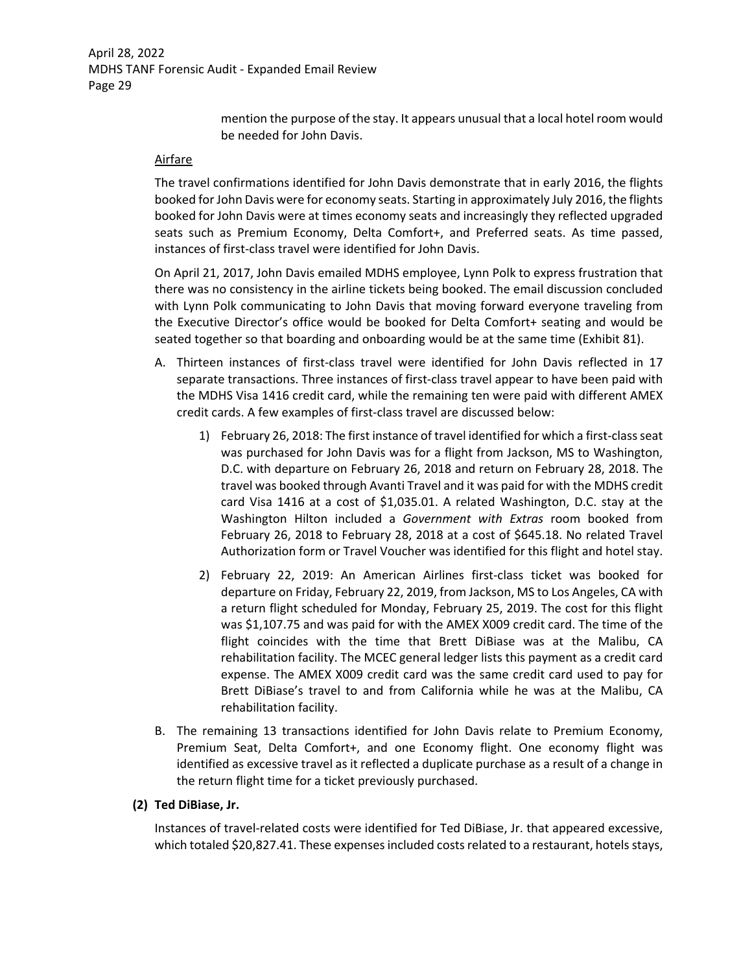> mention the purpose of the stay. It appears unusual that a local hotel room would be needed for John Davis.

### Airfare

The travel confirmations identified for John Davis demonstrate that in early 2016, the flights booked for John Davis were for economy seats. Starting in approximately July 2016, the flights booked for John Davis were at times economy seats and increasingly they reflected upgraded seats such as Premium Economy, Delta Comfort+, and Preferred seats. As time passed, instances of first‐class travel were identified for John Davis.

On April 21, 2017, John Davis emailed MDHS employee, Lynn Polk to express frustration that there was no consistency in the airline tickets being booked. The email discussion concluded with Lynn Polk communicating to John Davis that moving forward everyone traveling from the Executive Director's office would be booked for Delta Comfort+ seating and would be seated together so that boarding and onboarding would be at the same time (Exhibit 81).

- A. Thirteen instances of first‐class travel were identified for John Davis reflected in 17 separate transactions. Three instances of first-class travel appear to have been paid with the MDHS Visa 1416 credit card, while the remaining ten were paid with different AMEX credit cards. A few examples of first-class travel are discussed below:
	- 1) February 26, 2018: The first instance of travel identified for which a first‐classseat was purchased for John Davis was for a flight from Jackson, MS to Washington, D.C. with departure on February 26, 2018 and return on February 28, 2018. The travel was booked through Avanti Travel and it was paid for with the MDHS credit card Visa 1416 at a cost of \$1,035.01. A related Washington, D.C. stay at the Washington Hilton included a *Government with Extras* room booked from February 26, 2018 to February 28, 2018 at a cost of \$645.18. No related Travel Authorization form or Travel Voucher was identified for this flight and hotel stay.
	- 2) February 22, 2019: An American Airlines first-class ticket was booked for departure on Friday, February 22, 2019, from Jackson, MS to Los Angeles, CA with a return flight scheduled for Monday, February 25, 2019. The cost for this flight was \$1,107.75 and was paid for with the AMEX X009 credit card. The time of the flight coincides with the time that Brett DiBiase was at the Malibu, CA rehabilitation facility. The MCEC general ledger lists this payment as a credit card expense. The AMEX X009 credit card was the same credit card used to pay for Brett DiBiase's travel to and from California while he was at the Malibu, CA rehabilitation facility.
- B. The remaining 13 transactions identified for John Davis relate to Premium Economy, Premium Seat, Delta Comfort+, and one Economy flight. One economy flight was identified as excessive travel as it reflected a duplicate purchase as a result of a change in the return flight time for a ticket previously purchased.

## **(2) Ted DiBiase, Jr.**

Instances of travel‐related costs were identified for Ted DiBiase, Jr. that appeared excessive, which totaled \$20,827.41. These expenses included costs related to a restaurant, hotels stays,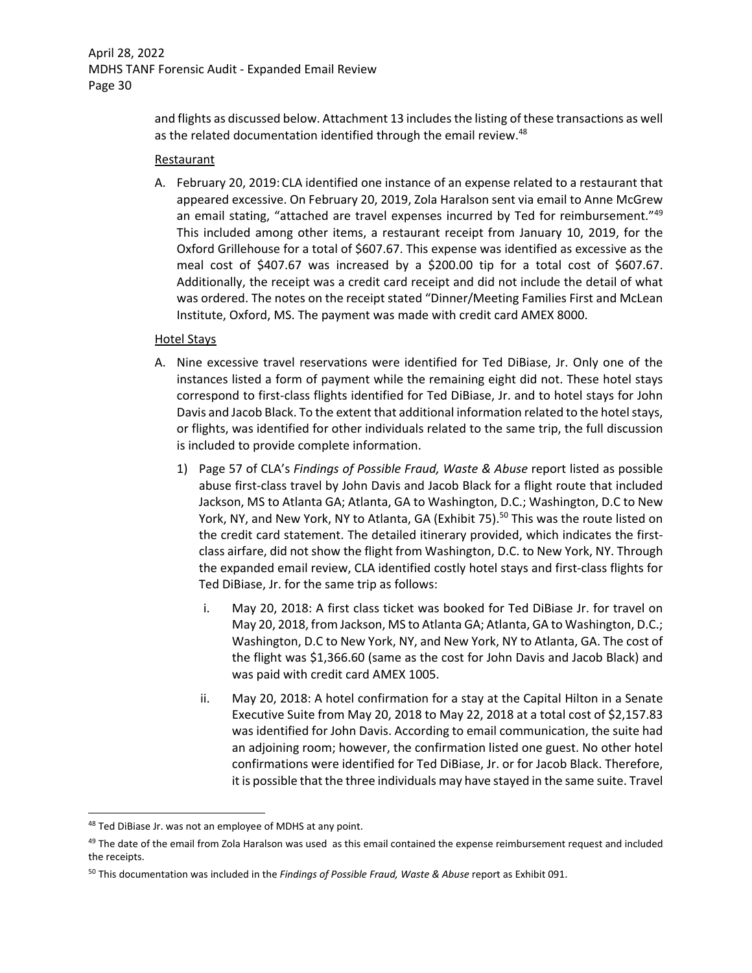and flights as discussed below. Attachment 13 includesthe listing of these transactions as well as the related documentation identified through the email review.<sup>48</sup>

### **Restaurant**

A. February 20, 2019: CLA identified one instance of an expense related to a restaurant that appeared excessive. On February 20, 2019, Zola Haralson sent via email to Anne McGrew an email stating, "attached are travel expenses incurred by Ted for reimbursement."<sup>49</sup> This included among other items, a restaurant receipt from January 10, 2019, for the Oxford Grillehouse for a total of \$607.67. This expense was identified as excessive as the meal cost of \$407.67 was increased by a \$200.00 tip for a total cost of \$607.67. Additionally, the receipt was a credit card receipt and did not include the detail of what was ordered. The notes on the receipt stated "Dinner/Meeting Families First and McLean Institute, Oxford, MS. The payment was made with credit card AMEX 8000.

## Hotel Stays

- A. Nine excessive travel reservations were identified for Ted DiBiase, Jr. Only one of the instances listed a form of payment while the remaining eight did not. These hotel stays correspond to first‐class flights identified for Ted DiBiase, Jr. and to hotel stays for John Davis and Jacob Black. To the extent that additional information related to the hotel stays, or flights, was identified for other individuals related to the same trip, the full discussion is included to provide complete information.
	- 1) Page 57 of CLA's *Findings of Possible Fraud, Waste & Abuse* report listed as possible abuse first‐class travel by John Davis and Jacob Black for a flight route that included Jackson, MS to Atlanta GA; Atlanta, GA to Washington, D.C.; Washington, D.C to New York, NY, and New York, NY to Atlanta, GA (Exhibit 75).<sup>50</sup> This was the route listed on the credit card statement. The detailed itinerary provided, which indicates the firstclass airfare, did not show the flight from Washington, D.C. to New York, NY. Through the expanded email review, CLA identified costly hotel stays and first‐class flights for Ted DiBiase, Jr. for the same trip as follows:
		- i. May 20, 2018: A first class ticket was booked for Ted DiBiase Jr. for travel on May 20, 2018, from Jackson, MS to Atlanta GA; Atlanta, GA to Washington, D.C.; Washington, D.C to New York, NY, and New York, NY to Atlanta, GA. The cost of the flight was \$1,366.60 (same as the cost for John Davis and Jacob Black) and was paid with credit card AMEX 1005.
		- ii. May 20, 2018: A hotel confirmation for a stay at the Capital Hilton in a Senate Executive Suite from May 20, 2018 to May 22, 2018 at a total cost of \$2,157.83 was identified for John Davis. According to email communication, the suite had an adjoining room; however, the confirmation listed one guest. No other hotel confirmations were identified for Ted DiBiase, Jr. or for Jacob Black. Therefore, it is possible that the three individuals may have stayed in the same suite. Travel

<sup>&</sup>lt;sup>48</sup> Ted DiBiase Jr. was not an employee of MDHS at any point.

<sup>&</sup>lt;sup>49</sup> The date of the email from Zola Haralson was used as this email contained the expense reimbursement request and included the receipts.

<sup>50</sup> This documentation was included in the *Findings of Possible Fraud, Waste & Abuse* report as Exhibit 091.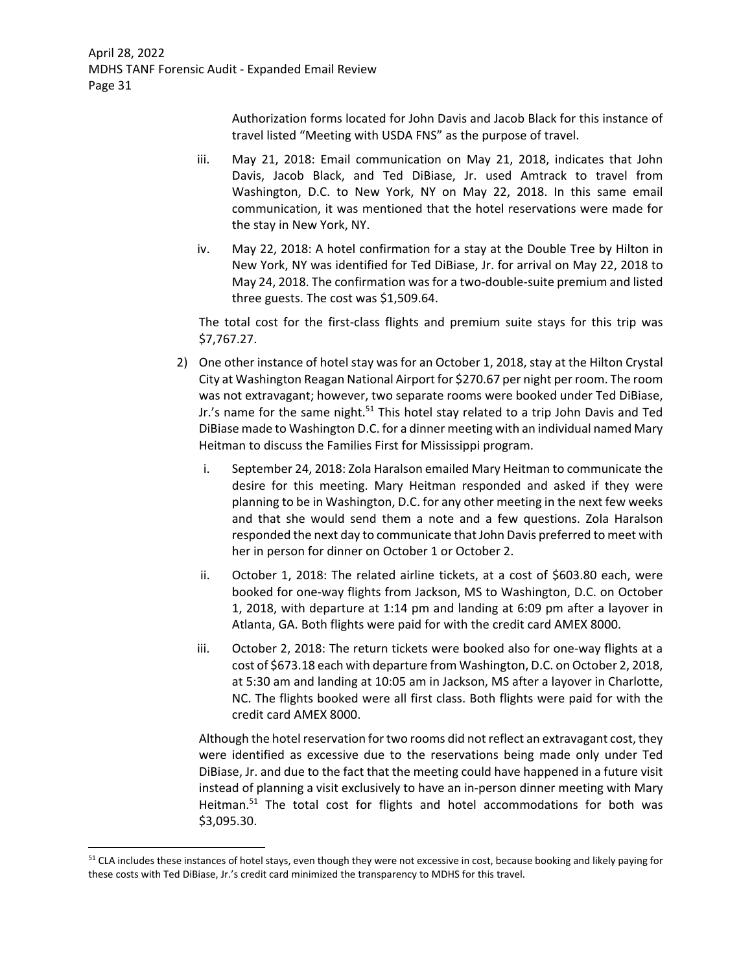> Authorization forms located for John Davis and Jacob Black for this instance of travel listed "Meeting with USDA FNS" as the purpose of travel.

- iii. May 21, 2018: Email communication on May 21, 2018, indicates that John Davis, Jacob Black, and Ted DiBiase, Jr. used Amtrack to travel from Washington, D.C. to New York, NY on May 22, 2018. In this same email communication, it was mentioned that the hotel reservations were made for the stay in New York, NY.
- iv. May 22, 2018: A hotel confirmation for a stay at the Double Tree by Hilton in New York, NY was identified for Ted DiBiase, Jr. for arrival on May 22, 2018 to May 24, 2018. The confirmation was for a two-double-suite premium and listed three guests. The cost was \$1,509.64.

The total cost for the first-class flights and premium suite stays for this trip was \$7,767.27.

- 2) One other instance of hotel stay was for an October 1, 2018, stay at the Hilton Crystal City at Washington Reagan National Airport for \$270.67 per night per room. The room was not extravagant; however, two separate rooms were booked under Ted DiBiase, Jr.'s name for the same night.<sup>51</sup> This hotel stay related to a trip John Davis and Ted DiBiase made to Washington D.C. for a dinner meeting with an individual named Mary Heitman to discuss the Families First for Mississippi program.
	- i. September 24, 2018: Zola Haralson emailed Mary Heitman to communicate the desire for this meeting. Mary Heitman responded and asked if they were planning to be in Washington, D.C. for any other meeting in the next few weeks and that she would send them a note and a few questions. Zola Haralson responded the next day to communicate that John Davis preferred to meet with her in person for dinner on October 1 or October 2.
	- ii. October 1, 2018: The related airline tickets, at a cost of \$603.80 each, were booked for one‐way flights from Jackson, MS to Washington, D.C. on October 1, 2018, with departure at 1:14 pm and landing at 6:09 pm after a layover in Atlanta, GA. Both flights were paid for with the credit card AMEX 8000.
	- iii. October 2, 2018: The return tickets were booked also for one-way flights at a cost of \$673.18 each with departure from Washington, D.C. on October 2, 2018, at 5:30 am and landing at 10:05 am in Jackson, MS after a layover in Charlotte, NC. The flights booked were all first class. Both flights were paid for with the credit card AMEX 8000.

Although the hotel reservation for two rooms did not reflect an extravagant cost, they were identified as excessive due to the reservations being made only under Ted DiBiase, Jr. and due to the fact that the meeting could have happened in a future visit instead of planning a visit exclusively to have an in‐person dinner meeting with Mary Heitman.<sup>51</sup> The total cost for flights and hotel accommodations for both was \$3,095.30.

<sup>&</sup>lt;sup>51</sup> CLA includes these instances of hotel stays, even though they were not excessive in cost, because booking and likely paying for these costs with Ted DiBiase, Jr.'s credit card minimized the transparency to MDHS for this travel.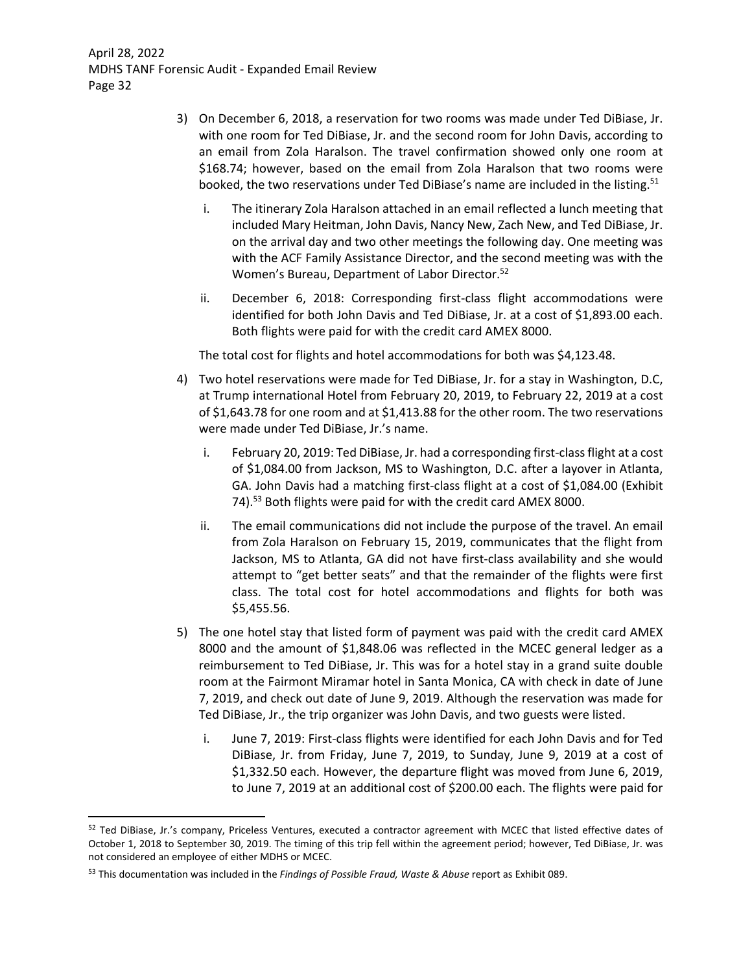- 3) On December 6, 2018, a reservation for two rooms was made under Ted DiBiase, Jr. with one room for Ted DiBiase, Jr. and the second room for John Davis, according to an email from Zola Haralson. The travel confirmation showed only one room at \$168.74; however, based on the email from Zola Haralson that two rooms were booked, the two reservations under Ted DiBiase's name are included in the listing.<sup>51</sup>
	- i. The itinerary Zola Haralson attached in an email reflected a lunch meeting that included Mary Heitman, John Davis, Nancy New, Zach New, and Ted DiBiase, Jr. on the arrival day and two other meetings the following day. One meeting was with the ACF Family Assistance Director, and the second meeting was with the Women's Bureau, Department of Labor Director.52
	- ii. December 6, 2018: Corresponding first-class flight accommodations were identified for both John Davis and Ted DiBiase, Jr. at a cost of \$1,893.00 each. Both flights were paid for with the credit card AMEX 8000.

The total cost for flights and hotel accommodations for both was \$4,123.48.

- 4) Two hotel reservations were made for Ted DiBiase, Jr. for a stay in Washington, D.C, at Trump international Hotel from February 20, 2019, to February 22, 2019 at a cost of \$1,643.78 for one room and at \$1,413.88 for the other room. The two reservations were made under Ted DiBiase, Jr.'s name.
	- i. February 20, 2019: Ted DiBiase, Jr. had a corresponding first-class flight at a cost of \$1,084.00 from Jackson, MS to Washington, D.C. after a layover in Atlanta, GA. John Davis had a matching first‐class flight at a cost of \$1,084.00 (Exhibit 74).<sup>53</sup> Both flights were paid for with the credit card AMEX 8000.
	- ii. The email communications did not include the purpose of the travel. An email from Zola Haralson on February 15, 2019, communicates that the flight from Jackson, MS to Atlanta, GA did not have first‐class availability and she would attempt to "get better seats" and that the remainder of the flights were first class. The total cost for hotel accommodations and flights for both was \$5,455.56.
- 5) The one hotel stay that listed form of payment was paid with the credit card AMEX 8000 and the amount of \$1,848.06 was reflected in the MCEC general ledger as a reimbursement to Ted DiBiase, Jr. This was for a hotel stay in a grand suite double room at the Fairmont Miramar hotel in Santa Monica, CA with check in date of June 7, 2019, and check out date of June 9, 2019. Although the reservation was made for Ted DiBiase, Jr., the trip organizer was John Davis, and two guests were listed.
	- i. June 7, 2019: First-class flights were identified for each John Davis and for Ted DiBiase, Jr. from Friday, June 7, 2019, to Sunday, June 9, 2019 at a cost of \$1,332.50 each. However, the departure flight was moved from June 6, 2019, to June 7, 2019 at an additional cost of \$200.00 each. The flights were paid for

<sup>52</sup> Ted DiBiase, Jr.'s company, Priceless Ventures, executed a contractor agreement with MCEC that listed effective dates of October 1, 2018 to September 30, 2019. The timing of this trip fell within the agreement period; however, Ted DiBiase, Jr. was not considered an employee of either MDHS or MCEC.

<sup>53</sup> This documentation was included in the *Findings of Possible Fraud, Waste & Abuse* report as Exhibit 089.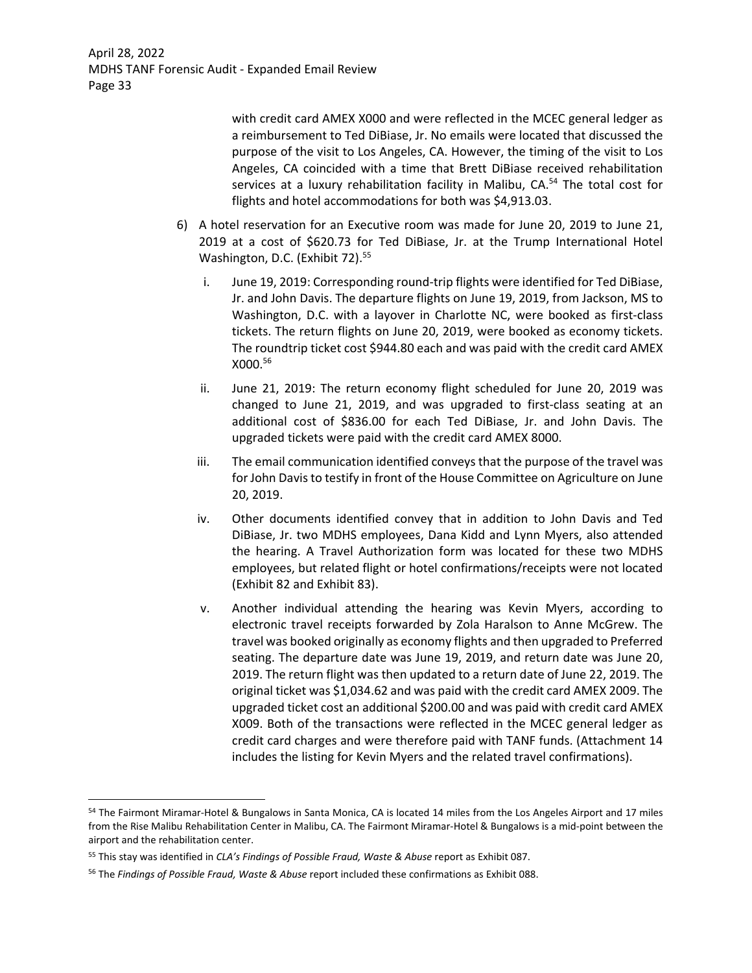> with credit card AMEX X000 and were reflected in the MCEC general ledger as a reimbursement to Ted DiBiase, Jr. No emails were located that discussed the purpose of the visit to Los Angeles, CA. However, the timing of the visit to Los Angeles, CA coincided with a time that Brett DiBiase received rehabilitation services at a luxury rehabilitation facility in Malibu, CA.<sup>54</sup> The total cost for flights and hotel accommodations for both was \$4,913.03.

- 6) A hotel reservation for an Executive room was made for June 20, 2019 to June 21, 2019 at a cost of \$620.73 for Ted DiBiase, Jr. at the Trump International Hotel Washington, D.C. (Exhibit 72).<sup>55</sup>
	- i. June 19, 2019: Corresponding round-trip flights were identified for Ted DiBiase, Jr. and John Davis. The departure flights on June 19, 2019, from Jackson, MS to Washington, D.C. with a layover in Charlotte NC, were booked as first-class tickets. The return flights on June 20, 2019, were booked as economy tickets. The roundtrip ticket cost \$944.80 each and was paid with the credit card AMEX X000.56
	- ii. June 21, 2019: The return economy flight scheduled for June 20, 2019 was changed to June 21, 2019, and was upgraded to first-class seating at an additional cost of \$836.00 for each Ted DiBiase, Jr. and John Davis. The upgraded tickets were paid with the credit card AMEX 8000.
	- iii. The email communication identified conveys that the purpose of the travel was for John Davis to testify in front of the House Committee on Agriculture on June 20, 2019.
	- iv. Other documents identified convey that in addition to John Davis and Ted DiBiase, Jr. two MDHS employees, Dana Kidd and Lynn Myers, also attended the hearing. A Travel Authorization form was located for these two MDHS employees, but related flight or hotel confirmations/receipts were not located (Exhibit 82 and Exhibit 83).
	- v. Another individual attending the hearing was Kevin Myers, according to electronic travel receipts forwarded by Zola Haralson to Anne McGrew. The travel was booked originally as economy flights and then upgraded to Preferred seating. The departure date was June 19, 2019, and return date was June 20, 2019. The return flight was then updated to a return date of June 22, 2019. The original ticket was \$1,034.62 and was paid with the credit card AMEX 2009. The upgraded ticket cost an additional \$200.00 and was paid with credit card AMEX X009. Both of the transactions were reflected in the MCEC general ledger as credit card charges and were therefore paid with TANF funds. (Attachment 14 includes the listing for Kevin Myers and the related travel confirmations).

<sup>54</sup> The Fairmont Miramar-Hotel & Bungalows in Santa Monica, CA is located 14 miles from the Los Angeles Airport and 17 miles from the Rise Malibu Rehabilitation Center in Malibu, CA. The Fairmont Miramar-Hotel & Bungalows is a mid-point between the airport and the rehabilitation center.

<sup>55</sup> This stay was identified in *CLA's Findings of Possible Fraud, Waste & Abuse* report as Exhibit 087.

<sup>56</sup> The *Findings of Possible Fraud, Waste & Abuse* report included these confirmations as Exhibit 088.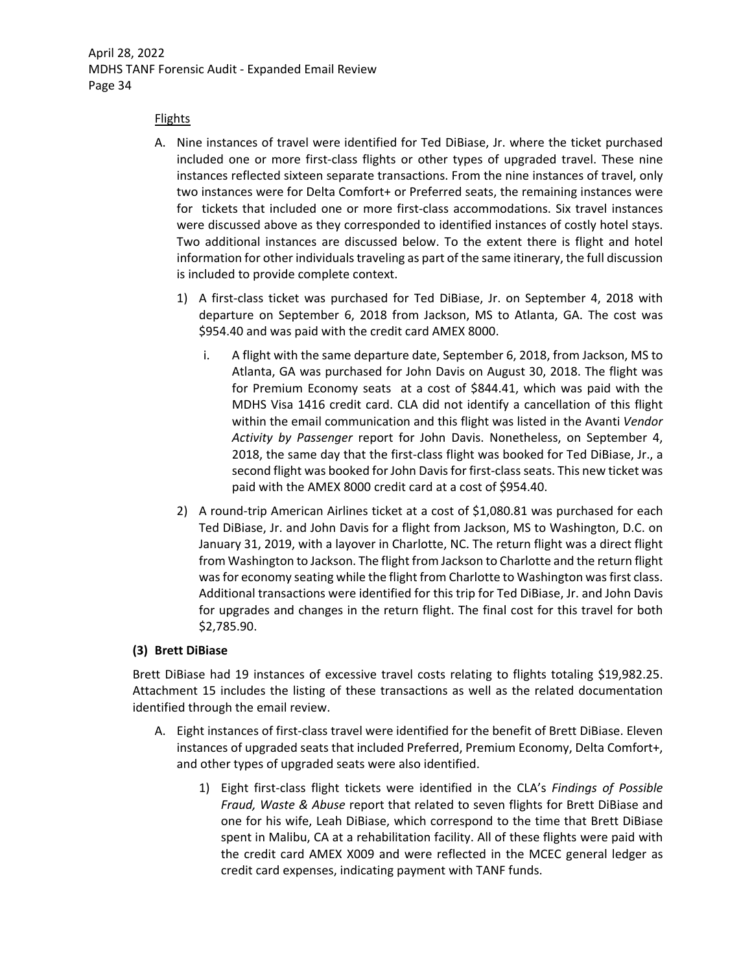### Flights

- A. Nine instances of travel were identified for Ted DiBiase, Jr. where the ticket purchased included one or more first-class flights or other types of upgraded travel. These nine instances reflected sixteen separate transactions. From the nine instances of travel, only two instances were for Delta Comfort+ or Preferred seats, the remaining instances were for tickets that included one or more first-class accommodations. Six travel instances were discussed above as they corresponded to identified instances of costly hotel stays. Two additional instances are discussed below. To the extent there is flight and hotel information for other individuals traveling as part of the same itinerary, the full discussion is included to provide complete context.
	- 1) A first‐class ticket was purchased for Ted DiBiase, Jr. on September 4, 2018 with departure on September 6, 2018 from Jackson, MS to Atlanta, GA. The cost was \$954.40 and was paid with the credit card AMEX 8000.
		- i. A flight with the same departure date, September 6, 2018, from Jackson, MS to Atlanta, GA was purchased for John Davis on August 30, 2018. The flight was for Premium Economy seats at a cost of \$844.41, which was paid with the MDHS Visa 1416 credit card. CLA did not identify a cancellation of this flight within the email communication and this flight was listed in the Avanti *Vendor Activity by Passenger* report for John Davis. Nonetheless, on September 4, 2018, the same day that the first-class flight was booked for Ted DiBiase, Jr., a second flight was booked for John Davis for first-class seats. This new ticket was paid with the AMEX 8000 credit card at a cost of \$954.40.
	- 2) A round-trip American Airlines ticket at a cost of \$1,080.81 was purchased for each Ted DiBiase, Jr. and John Davis for a flight from Jackson, MS to Washington, D.C. on January 31, 2019, with a layover in Charlotte, NC. The return flight was a direct flight from Washington to Jackson. The flight from Jackson to Charlotte and the return flight was for economy seating while the flight from Charlotte to Washington was first class. Additional transactions were identified for this trip for Ted DiBiase, Jr. and John Davis for upgrades and changes in the return flight. The final cost for this travel for both \$2,785.90.

### **(3) Brett DiBiase**

Brett DiBiase had 19 instances of excessive travel costs relating to flights totaling \$19,982.25. Attachment 15 includes the listing of these transactions as well as the related documentation identified through the email review.

- A. Eight instances of first-class travel were identified for the benefit of Brett DiBiase. Eleven instances of upgraded seats that included Preferred, Premium Economy, Delta Comfort+, and other types of upgraded seats were also identified.
	- 1) Eight first‐class flight tickets were identified in the CLA's *Findings of Possible Fraud, Waste & Abuse* report that related to seven flights for Brett DiBiase and one for his wife, Leah DiBiase, which correspond to the time that Brett DiBiase spent in Malibu, CA at a rehabilitation facility. All of these flights were paid with the credit card AMEX X009 and were reflected in the MCEC general ledger as credit card expenses, indicating payment with TANF funds.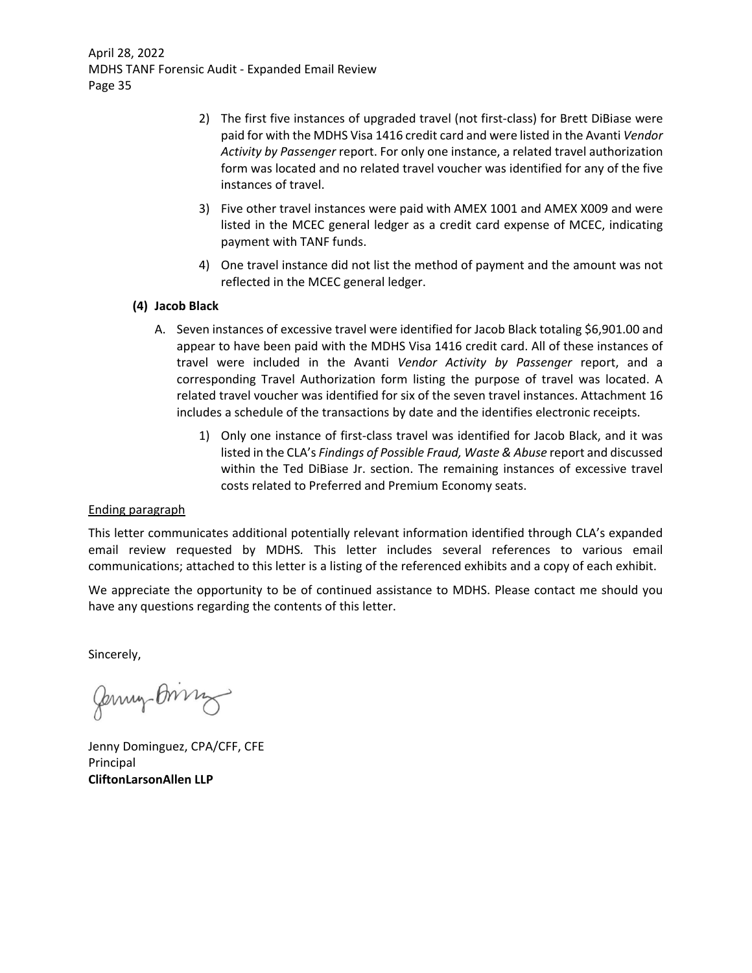- 2) The first five instances of upgraded travel (not first-class) for Brett DiBiase were paid for with the MDHS Visa 1416 credit card and were listed in the Avanti *Vendor Activity by Passenger* report. For only one instance, a related travel authorization form was located and no related travel voucher was identified for any of the five instances of travel.
- 3) Five other travel instances were paid with AMEX 1001 and AMEX X009 and were listed in the MCEC general ledger as a credit card expense of MCEC, indicating payment with TANF funds.
- 4) One travel instance did not list the method of payment and the amount was not reflected in the MCEC general ledger.

## **(4) Jacob Black**

- A. Seven instances of excessive travel were identified for Jacob Black totaling \$6,901.00 and appear to have been paid with the MDHS Visa 1416 credit card. All of these instances of travel were included in the Avanti *Vendor Activity by Passenger* report, and a corresponding Travel Authorization form listing the purpose of travel was located. A related travel voucher was identified for six of the seven travel instances. Attachment 16 includes a schedule of the transactions by date and the identifies electronic receipts.
	- 1) Only one instance of first‐class travel was identified for Jacob Black, and it was listed in the CLA's *Findings of Possible Fraud, Waste & Abuse* report and discussed within the Ted DiBiase Jr. section. The remaining instances of excessive travel costs related to Preferred and Premium Economy seats.

## Ending paragraph

This letter communicates additional potentially relevant information identified through CLA's expanded email review requested by MDHS*.* This letter includes several references to various email communications; attached to this letter is a listing of the referenced exhibits and a copy of each exhibit.

We appreciate the opportunity to be of continued assistance to MDHS. Please contact me should you have any questions regarding the contents of this letter.

Sincerely,

Jemy Bring

Jenny Dominguez, CPA/CFF, CFE Principal **CliftonLarsonAllen LLP**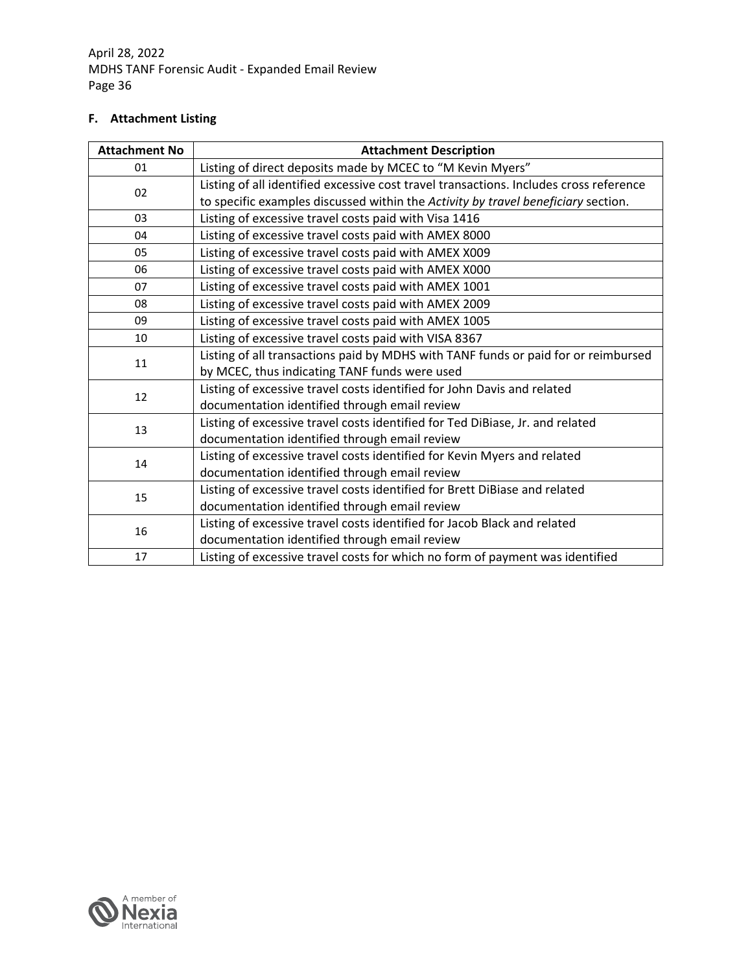# **F. Attachment Listing**

| <b>Attachment No</b> | <b>Attachment Description</b>                                                          |
|----------------------|----------------------------------------------------------------------------------------|
| 01                   | Listing of direct deposits made by MCEC to "M Kevin Myers"                             |
| 02                   | Listing of all identified excessive cost travel transactions. Includes cross reference |
|                      | to specific examples discussed within the Activity by travel beneficiary section.      |
| 03                   | Listing of excessive travel costs paid with Visa 1416                                  |
| 04                   | Listing of excessive travel costs paid with AMEX 8000                                  |
| 05                   | Listing of excessive travel costs paid with AMEX X009                                  |
| 06                   | Listing of excessive travel costs paid with AMEX X000                                  |
| 07                   | Listing of excessive travel costs paid with AMEX 1001                                  |
| 08                   | Listing of excessive travel costs paid with AMEX 2009                                  |
| 09                   | Listing of excessive travel costs paid with AMEX 1005                                  |
| 10                   | Listing of excessive travel costs paid with VISA 8367                                  |
| 11                   | Listing of all transactions paid by MDHS with TANF funds or paid for or reimbursed     |
|                      | by MCEC, thus indicating TANF funds were used                                          |
| 12                   | Listing of excessive travel costs identified for John Davis and related                |
|                      | documentation identified through email review                                          |
| 13                   | Listing of excessive travel costs identified for Ted DiBiase, Jr. and related          |
|                      | documentation identified through email review                                          |
| 14                   | Listing of excessive travel costs identified for Kevin Myers and related               |
|                      | documentation identified through email review                                          |
| 15                   | Listing of excessive travel costs identified for Brett DiBiase and related             |
|                      | documentation identified through email review                                          |
| 16                   | Listing of excessive travel costs identified for Jacob Black and related               |
|                      | documentation identified through email review                                          |
| 17                   | Listing of excessive travel costs for which no form of payment was identified          |

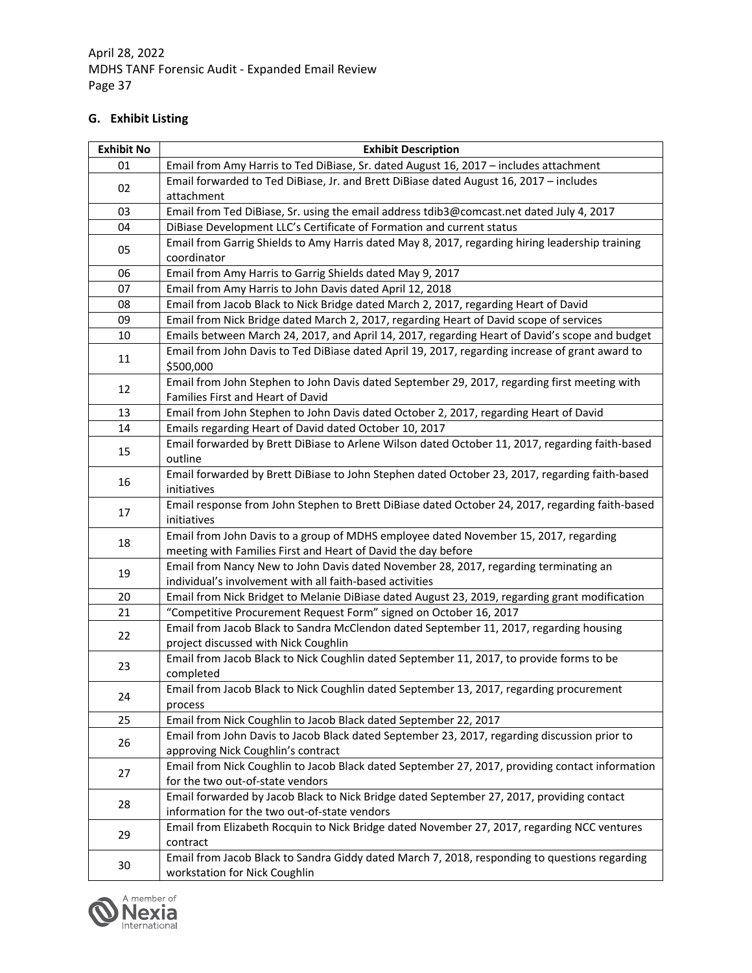# **G. Exhibit Listing**

| <b>Exhibit No</b> | <b>Exhibit Description</b>                                                                      |
|-------------------|-------------------------------------------------------------------------------------------------|
| 01                | Email from Amy Harris to Ted DiBiase, Sr. dated August 16, 2017 - includes attachment           |
|                   | Email forwarded to Ted DiBiase, Jr. and Brett DiBiase dated August 16, 2017 - includes          |
| 02                | attachment                                                                                      |
| 03                | Email from Ted DiBiase, Sr. using the email address tdib3@comcast.net dated July 4, 2017        |
| 04                | DiBiase Development LLC's Certificate of Formation and current status                           |
|                   | Email from Garrig Shields to Amy Harris dated May 8, 2017, regarding hiring leadership training |
| 05                | coordinator                                                                                     |
| 06                | Email from Amy Harris to Garrig Shields dated May 9, 2017                                       |
| 07                | Email from Amy Harris to John Davis dated April 12, 2018                                        |
| 08                | Email from Jacob Black to Nick Bridge dated March 2, 2017, regarding Heart of David             |
| 09                | Email from Nick Bridge dated March 2, 2017, regarding Heart of David scope of services          |
| 10                | Emails between March 24, 2017, and April 14, 2017, regarding Heart of David's scope and budget  |
|                   | Email from John Davis to Ted DiBiase dated April 19, 2017, regarding increase of grant award to |
| 11                | \$500,000                                                                                       |
| 12                | Email from John Stephen to John Davis dated September 29, 2017, regarding first meeting with    |
|                   | Families First and Heart of David                                                               |
| 13                | Email from John Stephen to John Davis dated October 2, 2017, regarding Heart of David           |
| 14                | Emails regarding Heart of David dated October 10, 2017                                          |
| 15                | Email forwarded by Brett DiBiase to Arlene Wilson dated October 11, 2017, regarding faith-based |
|                   | outline                                                                                         |
| 16                | Email forwarded by Brett DiBiase to John Stephen dated October 23, 2017, regarding faith-based  |
|                   | initiatives                                                                                     |
| 17                | Email response from John Stephen to Brett DiBiase dated October 24, 2017, regarding faith-based |
|                   | initiatives                                                                                     |
| 18                | Email from John Davis to a group of MDHS employee dated November 15, 2017, regarding            |
|                   | meeting with Families First and Heart of David the day before                                   |
| 19                | Email from Nancy New to John Davis dated November 28, 2017, regarding terminating an            |
|                   | individual's involvement with all faith-based activities                                        |
| 20                | Email from Nick Bridget to Melanie DiBiase dated August 23, 2019, regarding grant modification  |
| 21                | "Competitive Procurement Request Form" signed on October 16, 2017                               |
| 22                | Email from Jacob Black to Sandra McClendon dated September 11, 2017, regarding housing          |
|                   | project discussed with Nick Coughlin                                                            |
| 23                | Email from Jacob Black to Nick Coughlin dated September 11, 2017, to provide forms to be        |
|                   | completed                                                                                       |
| 24                | Email from Jacob Black to Nick Coughlin dated September 13, 2017, regarding procurement         |
| 25                | process<br>Email from Nick Coughlin to Jacob Black dated September 22, 2017                     |
|                   | Email from John Davis to Jacob Black dated September 23, 2017, regarding discussion prior to    |
| 26                | approving Nick Coughlin's contract                                                              |
|                   | Email from Nick Coughlin to Jacob Black dated September 27, 2017, providing contact information |
| 27                | for the two out-of-state vendors                                                                |
|                   | Email forwarded by Jacob Black to Nick Bridge dated September 27, 2017, providing contact       |
| 28                | information for the two out-of-state vendors                                                    |
|                   | Email from Elizabeth Rocquin to Nick Bridge dated November 27, 2017, regarding NCC ventures     |
| 29                | contract                                                                                        |
|                   | Email from Jacob Black to Sandra Giddy dated March 7, 2018, responding to questions regarding   |
| 30                | workstation for Nick Coughlin                                                                   |

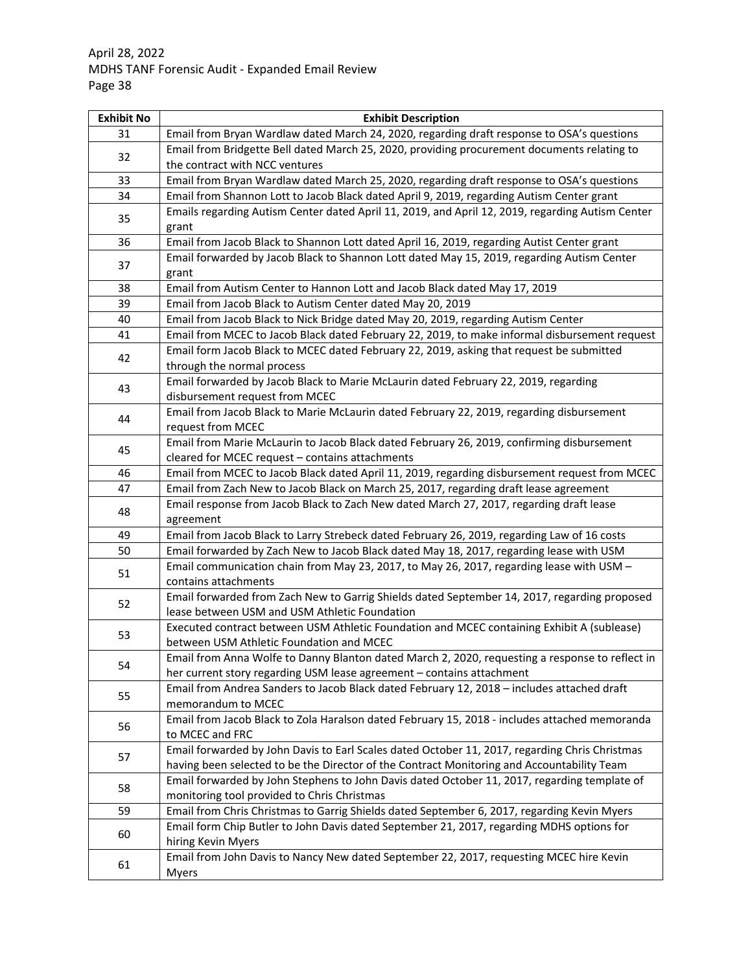| <b>Exhibit No</b> | <b>Exhibit Description</b>                                                                                       |
|-------------------|------------------------------------------------------------------------------------------------------------------|
| 31                | Email from Bryan Wardlaw dated March 24, 2020, regarding draft response to OSA's questions                       |
|                   | Email from Bridgette Bell dated March 25, 2020, providing procurement documents relating to                      |
| 32                | the contract with NCC ventures                                                                                   |
| 33                | Email from Bryan Wardlaw dated March 25, 2020, regarding draft response to OSA's questions                       |
| 34                | Email from Shannon Lott to Jacob Black dated April 9, 2019, regarding Autism Center grant                        |
| 35                | Emails regarding Autism Center dated April 11, 2019, and April 12, 2019, regarding Autism Center                 |
|                   | grant                                                                                                            |
| 36                | Email from Jacob Black to Shannon Lott dated April 16, 2019, regarding Autist Center grant                       |
| 37                | Email forwarded by Jacob Black to Shannon Lott dated May 15, 2019, regarding Autism Center                       |
|                   | grant                                                                                                            |
| 38                | Email from Autism Center to Hannon Lott and Jacob Black dated May 17, 2019                                       |
| 39                | Email from Jacob Black to Autism Center dated May 20, 2019                                                       |
| 40                | Email from Jacob Black to Nick Bridge dated May 20, 2019, regarding Autism Center                                |
| 41                | Email from MCEC to Jacob Black dated February 22, 2019, to make informal disbursement request                    |
| 42                | Email form Jacob Black to MCEC dated February 22, 2019, asking that request be submitted                         |
|                   | through the normal process                                                                                       |
| 43                | Email forwarded by Jacob Black to Marie McLaurin dated February 22, 2019, regarding                              |
|                   | disbursement request from MCEC                                                                                   |
| 44                | Email from Jacob Black to Marie McLaurin dated February 22, 2019, regarding disbursement                         |
|                   | request from MCEC                                                                                                |
| 45                | Email from Marie McLaurin to Jacob Black dated February 26, 2019, confirming disbursement                        |
|                   | cleared for MCEC request - contains attachments                                                                  |
| 46                | Email from MCEC to Jacob Black dated April 11, 2019, regarding disbursement request from MCEC                    |
| 47                | Email from Zach New to Jacob Black on March 25, 2017, regarding draft lease agreement                            |
| 48                | Email response from Jacob Black to Zach New dated March 27, 2017, regarding draft lease                          |
|                   | agreement                                                                                                        |
| 49                | Email from Jacob Black to Larry Strebeck dated February 26, 2019, regarding Law of 16 costs                      |
| 50                | Email forwarded by Zach New to Jacob Black dated May 18, 2017, regarding lease with USM                          |
| 51                | Email communication chain from May 23, 2017, to May 26, 2017, regarding lease with USM -                         |
|                   | contains attachments                                                                                             |
| 52                | Email forwarded from Zach New to Garrig Shields dated September 14, 2017, regarding proposed                     |
|                   | lease between USM and USM Athletic Foundation                                                                    |
| 53                | Executed contract between USM Athletic Foundation and MCEC containing Exhibit A (sublease)                       |
|                   | between USM Athletic Foundation and MCEC                                                                         |
| 54                | Email from Anna Wolfe to Danny Blanton dated March 2, 2020, requesting a response to reflect in                  |
|                   | her current story regarding USM lease agreement - contains attachment                                            |
| 55                | Email from Andrea Sanders to Jacob Black dated February 12, 2018 - includes attached draft<br>memorandum to MCEC |
|                   | Email from Jacob Black to Zola Haralson dated February 15, 2018 - includes attached memoranda                    |
| 56                | to MCEC and FRC                                                                                                  |
|                   | Email forwarded by John Davis to Earl Scales dated October 11, 2017, regarding Chris Christmas                   |
| 57                | having been selected to be the Director of the Contract Monitoring and Accountability Team                       |
|                   | Email forwarded by John Stephens to John Davis dated October 11, 2017, regarding template of                     |
| 58                | monitoring tool provided to Chris Christmas                                                                      |
| 59                | Email from Chris Christmas to Garrig Shields dated September 6, 2017, regarding Kevin Myers                      |
|                   | Email form Chip Butler to John Davis dated September 21, 2017, regarding MDHS options for                        |
| 60                | hiring Kevin Myers                                                                                               |
|                   | Email from John Davis to Nancy New dated September 22, 2017, requesting MCEC hire Kevin                          |
| 61                | Myers                                                                                                            |
|                   |                                                                                                                  |